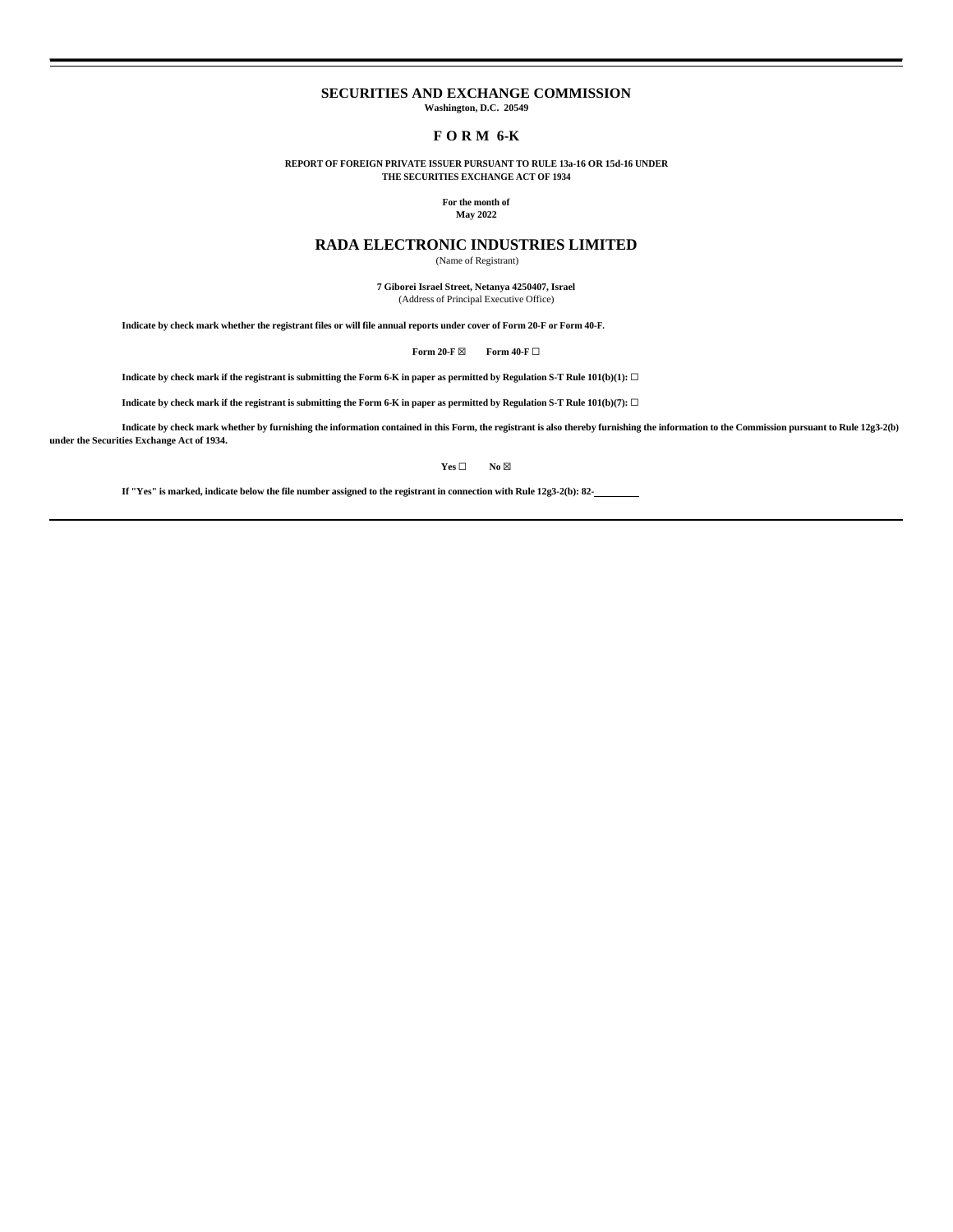# **SECURITIES AND EXCHANGE COMMISSION**

**Washington, D.C. 20549**

## **F O R M 6-K**

**REPORT OF FOREIGN PRIVATE ISSUER PURSUANT TO RULE 13a-16 OR 15d-16 UNDER THE SECURITIES EXCHANGE ACT OF 1934**

## **For the month of**

## **May 2022**

# **RADA ELECTRONIC INDUSTRIES LIMITED**

(Name of Registrant)

**7 Giborei Israel Street, Netanya 4250407, Israel** (Address of Principal Executive Office)

**Indicate by check mark whether the registrant files or will file annual reports under cover of Form 20-F or Form 40-F.**

**Form 20-F ⊠ Form 40-F** □

**Indicate by check mark if the registrant is submitting the Form 6-K in paper as permitted by Regulation S-T Rule 101(b)(1):**  $\Box$ 

**Indicate by check mark if the registrant is submitting the Form 6-K in paper as permitted by Regulation S-T Rule 101(b)(7):** ☐

**Indicate by check mark whether by furnishing the information contained in this Form, the registrant is also thereby furnishing the information to the Commission pursuant to Rule 12g3-2(b) under the Securities Exchange Act of 1934.**

**Yes □ No** ⊠

**If "Yes" is marked, indicate below the file number assigned to the registrant in connection with Rule 12g3-2(b): 82-**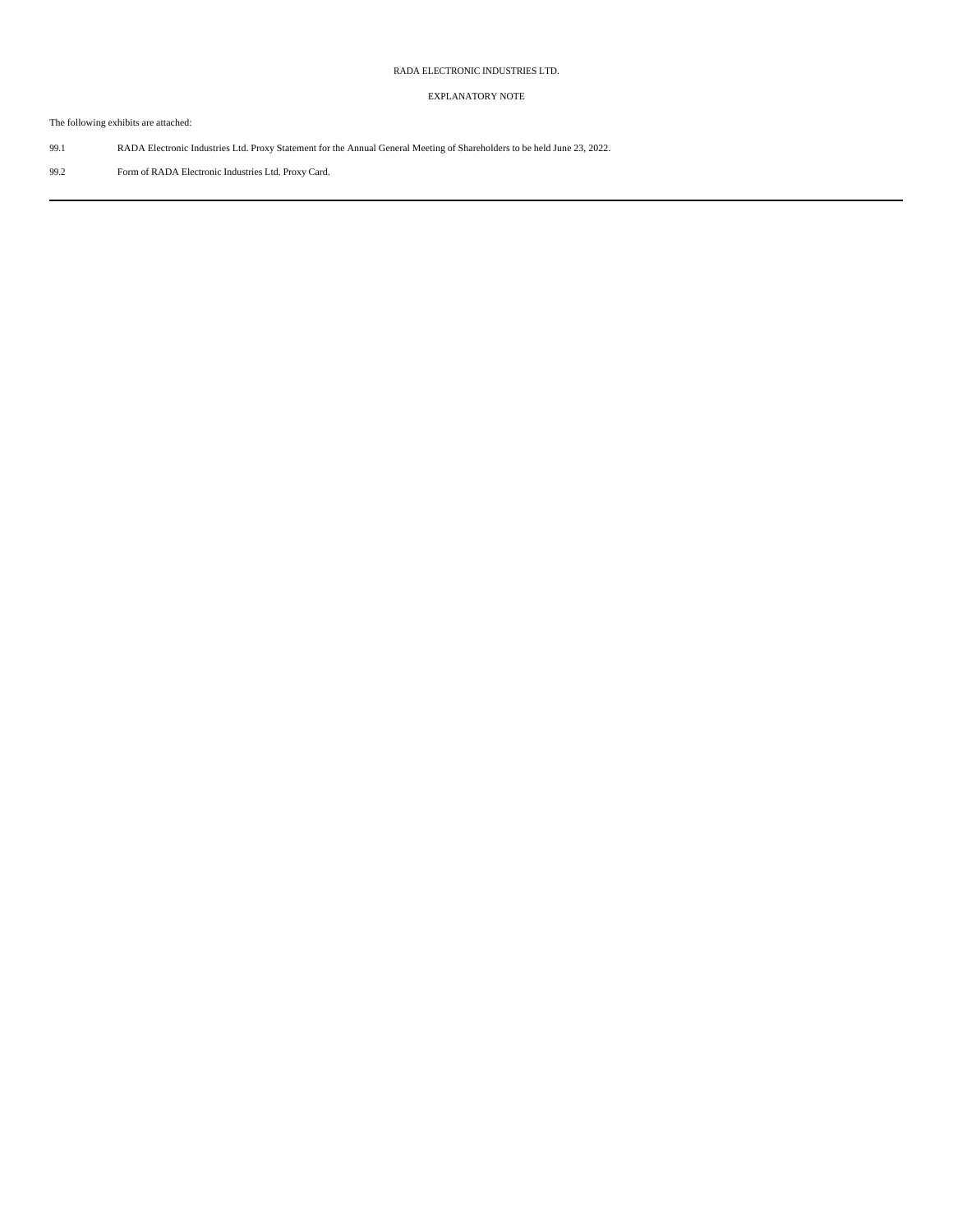# RADA ELECTRONIC INDUSTRIES LTD.

# EXPLANATORY NOTE

The following exhibits are attached:

- 99.1 RADA Electronic Industries Ltd. Proxy Statement for the Annual General Meeting of Shareholders to be held June 23, 2022.
- 99.2 Form of RADA Electronic Industries Ltd. Proxy Card.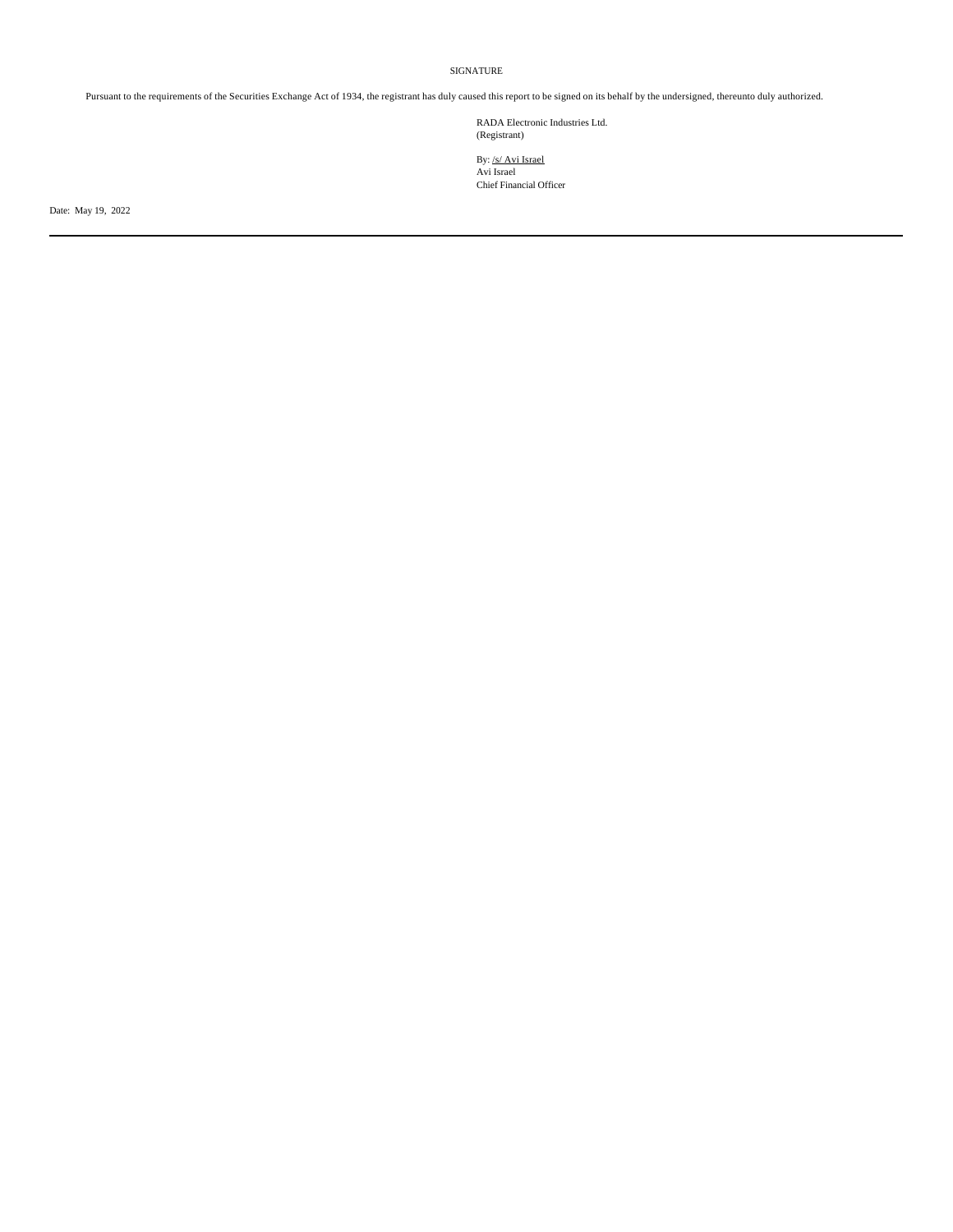## SIGNATURE

Pursuant to the requirements of the Securities Exchange Act of 1934, the registrant has duly caused this report to be signed on its behalf by the undersigned, thereunto duly authorized.

RADA Electronic Industries Ltd. (Registrant)

By: /s/ Avi Israel Avi Israel Chief Financial Officer

Date: May 19, 2022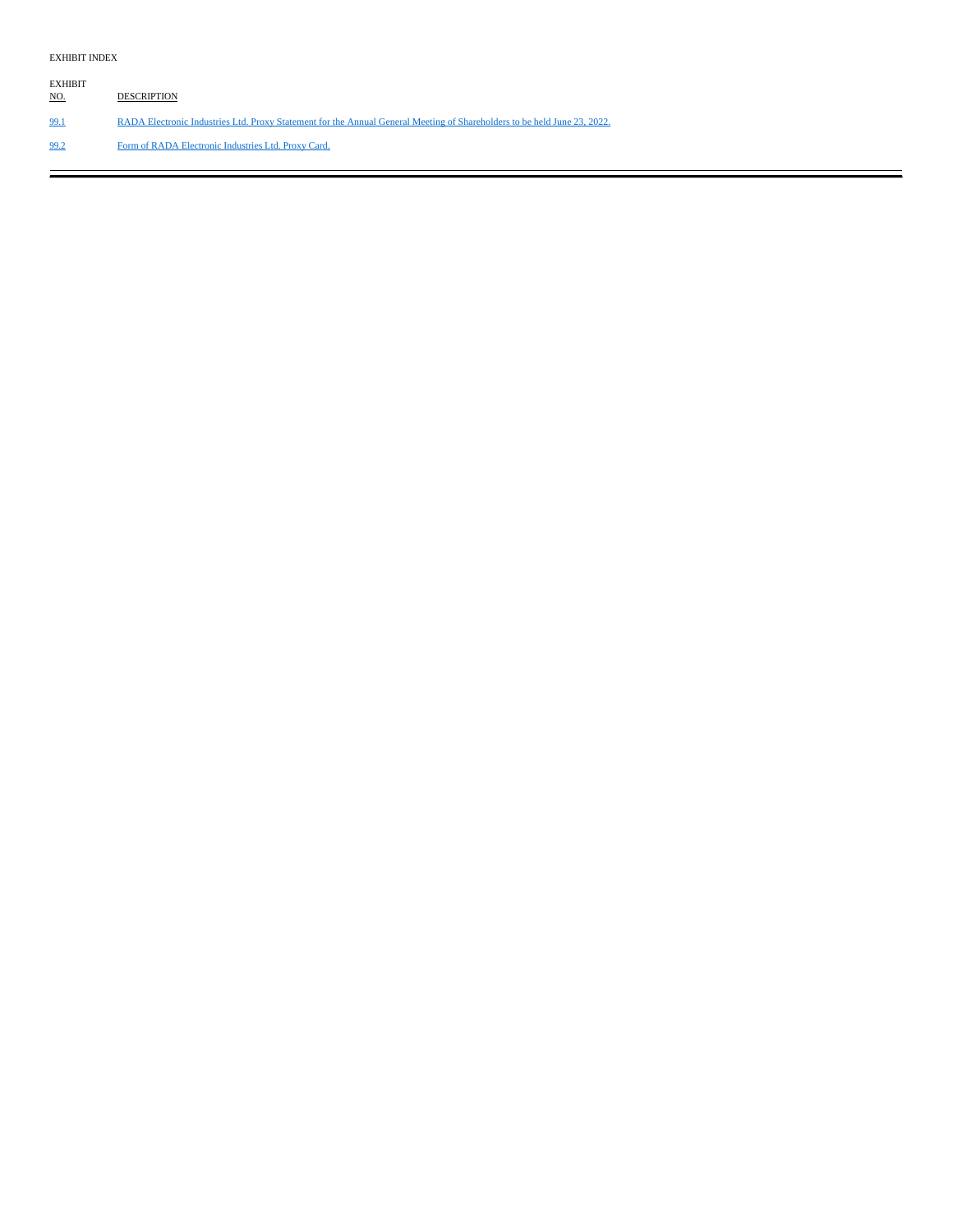## EXHIBIT INDEX

EXHIBIT NO. DESCRIPTION 99.1 RADA Electronic Industries Ltd. Proxy Statement for the Annual General Meeting of Shareholders to be held June 23, 2022. 99.2 Form of RADA Electronic Industries Ltd. Proxy Card.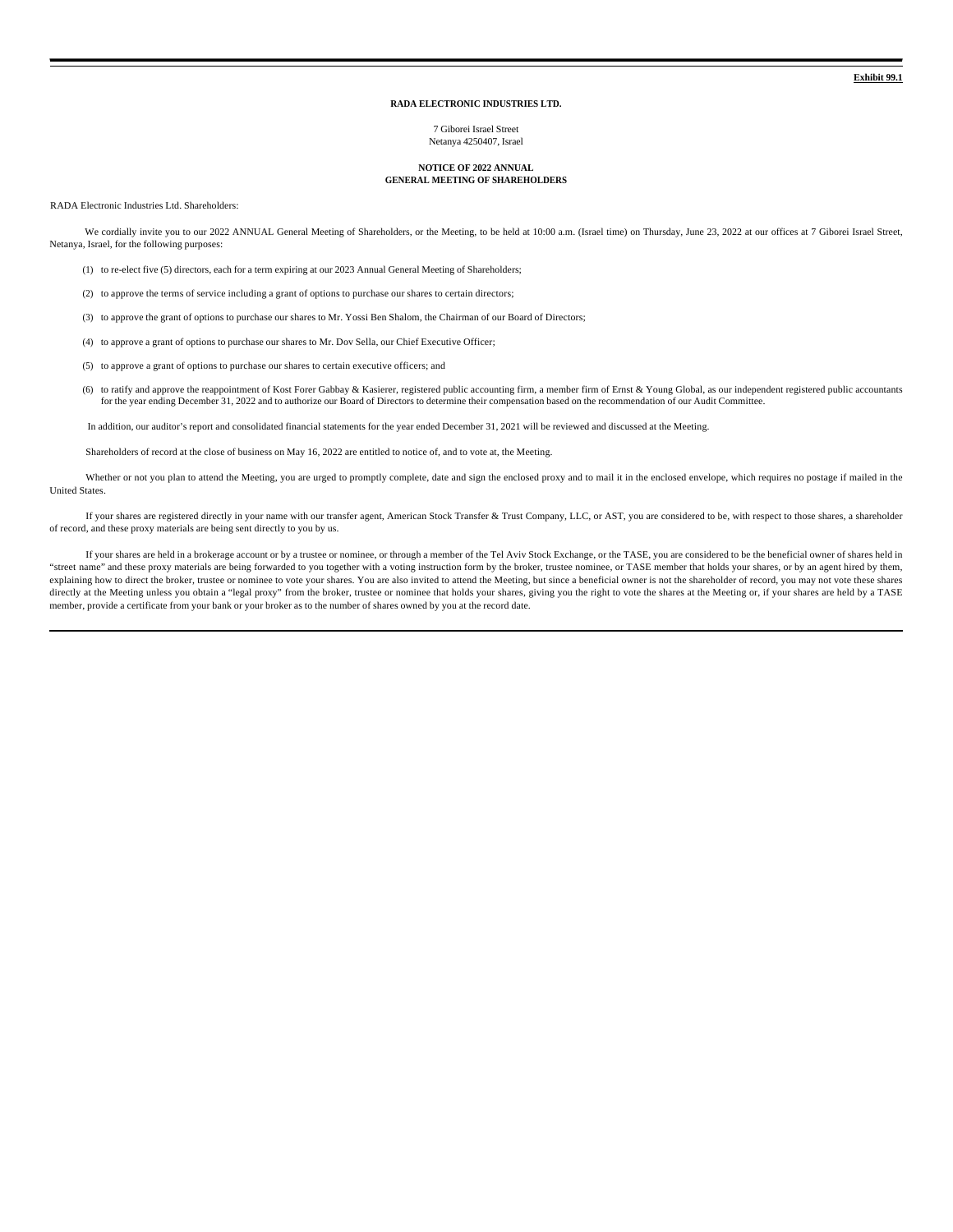#### **RADA ELECTRONIC INDUSTRIES LTD.**

7 Giborei Israel Street Netanya 4250407, Israel

#### **NOTICE OF 2022 ANNUAL GENERAL MEETING OF SHAREHOLDERS**

RADA Electronic Industries Ltd. Shareholders:

We cordially invite you to our 2022 ANNUAL General Meeting of Shareholders, or the Meeting, to be held at 10:00 a.m. (Israel time) on Thursday, June 23, 2022 at our offices at 7 Giborei Israel Street, Netanya, Israel, for the following purposes:

- (1) to re-elect five (5) directors, each for a term expiring at our 2023 Annual General Meeting of Shareholders;
- (2) to approve the terms of service including a grant of options to purchase our shares to certain directors;
- (3) to approve the grant of options to purchase our shares to Mr. Yossi Ben Shalom, the Chairman of our Board of Directors;
- (4) to approve a grant of options to purchase our shares to Mr. Dov Sella, our Chief Executive Officer;
- (5) to approve a grant of options to purchase our shares to certain executive officers; and
- (6) to ratify and approve the reappointment of Kost Forer Gabbay & Kasierer, registered public accounting firm, a member firm of Ernst & Young Global, as our independent registered public accountants for the year ending December 31, 2022 and to authorize our Board of Directors to determine their compensation based on the recommendation of our Audit Committee.

In addition, our auditor's report and consolidated financial statements for the year ended December 31, 2021 will be reviewed and discussed at the Meeting.

Shareholders of record at the close of business on May 16, 2022 are entitled to notice of, and to vote at, the Meeting.

Whether or not you plan to attend the Meeting, you are urged to promptly complete, date and sign the enclosed proxy and to mail it in the enclosed envelope, which requires no postage if mailed in the United States.

If your shares are registered directly in your name with our transfer agent, American Stock Transfer & Trust Company, LLC, or AST, you are considered to be, with respect to those shares, a shareholder of record, and these proxy materials are being sent directly to you by us.

If your shares are held in a brokerage account or by a trustee or nominee, or through a member of the Tel Aviv Stock Exchange, or the TASE, you are considered to be the beneficial owner of shares held in "street name" and these proxy materials are being forwarded to you together with a voting instruction form by the broker, trustee nominee, or TASE member that holds your shares, or by an agent hired by them, explaining how to direct the broker, trustee or nominee to vote your shares. You are also invited to attend the Meeting, but since a beneficial owner is not the shareholder of record, you may not vote these shares directly at the Meeting unless you obtain a "legal proxy" from the broker, trustee or nominee that holds your shares, giving you the right to vote the shares at the Meeting or, if your shares are held by a TASE member, provide a certificate from your bank or your broker as to the number of shares owned by you at the record date.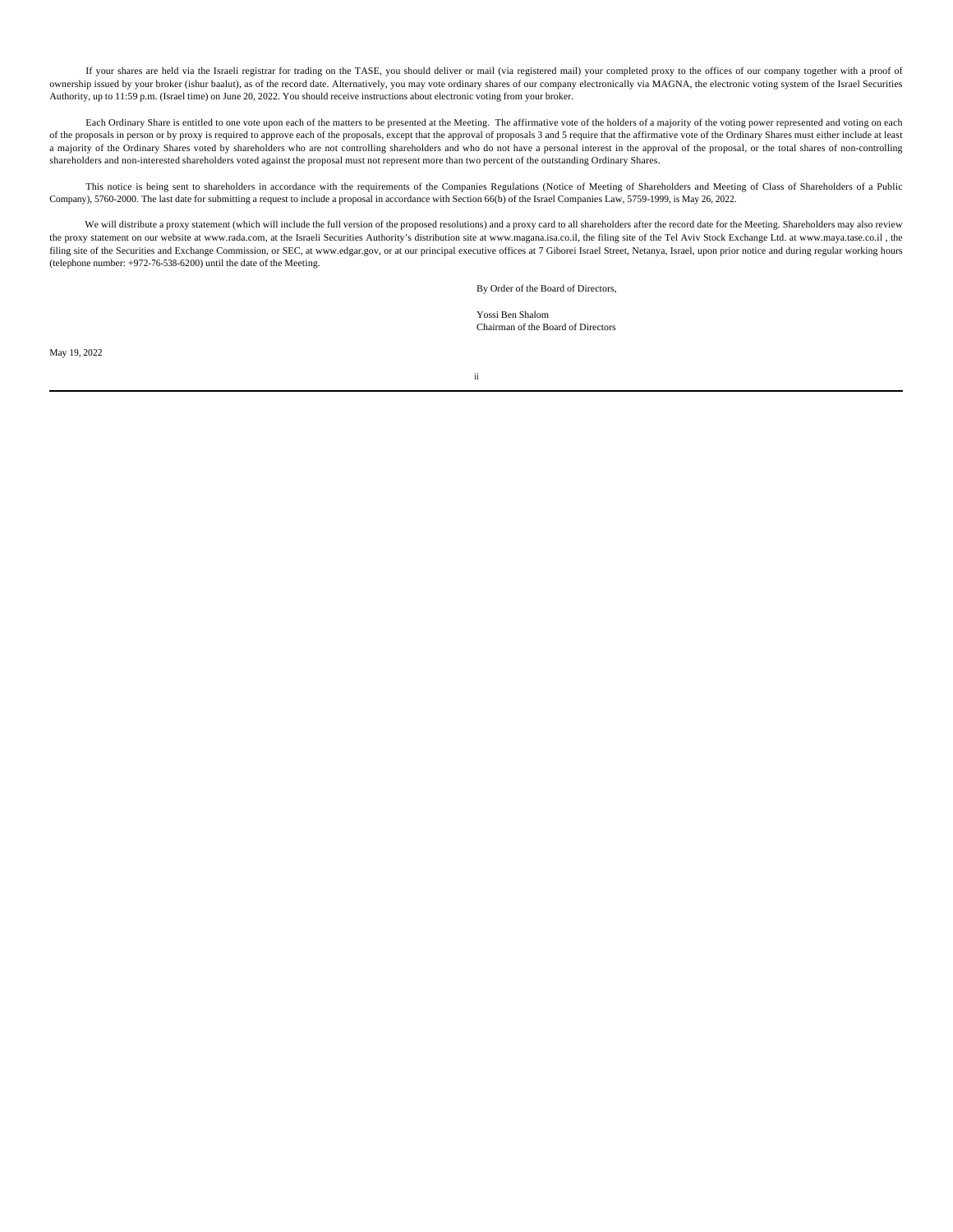If your shares are held via the Israeli registrar for trading on the TASE, you should deliver or mail (via registered mail) your completed proxy to the offices of our company together with a proof of ownership issued by your broker (ishur baalut), as of the record date. Alternatively, you may vote ordinary shares of our company electronically via MAGNA, the electronic voting system of the Israel Securities Authority, up to 11:59 p.m. (Israel time) on June 20, 2022. You should receive instructions about electronic voting from your broker.

Each Ordinary Share is entitled to one vote upon each of the matters to be presented at the Meeting. The affirmative vote of the holders of a majority of the voting power represented and voting on each of the proposals in person or by proxy is required to approve each of the proposals, except that the approval of proposals 3 and 5 require that the affirmative vote of the Ordinary Shares must either include at least a majority of the Ordinary Shares voted by shareholders who are not controlling shareholders and who do not have a personal interest in the approval of the proposal, or the total shares of non-controlling shareholders and non-interested shareholders voted against the proposal must not represent more than two percent of the outstanding Ordinary Shares.

This notice is being sent to shareholders in accordance with the requirements of the Companies Regulations (Notice of Meeting of Shareholders and Meeting of Class of Shareholders of a Public Company), 5760-2000. The last date for submitting a request to include a proposal in accordance with Section 66(b) of the Israel Companies Law, 5759-1999, is May 26, 2022.

We will distribute a proxy statement (which will include the full version of the proposed resolutions) and a proxy card to all shareholders after the record date for the Meeting. Shareholders may also review the proxy statement on our website at www.rada.com, at the Israeli Securities Authority's distribution site at www.magana.isa.co.il, the filing site of the Tel Aviv Stock Exchange Ltd. at www.maya.tase.co.il , the filing site of the Securities and Exchange Commission, or SEC, at www.edgar.gov, or at our principal executive offices at 7 Giborei Israel Street, Netanya, Israel, upon prior notice and during regular working hours (telephone number: +972-76-538-6200) until the date of the Meeting.

By Order of the Board of Directors,

Yossi Ben Shalom Chairman of the Board of Directors

May 19, 2022

ii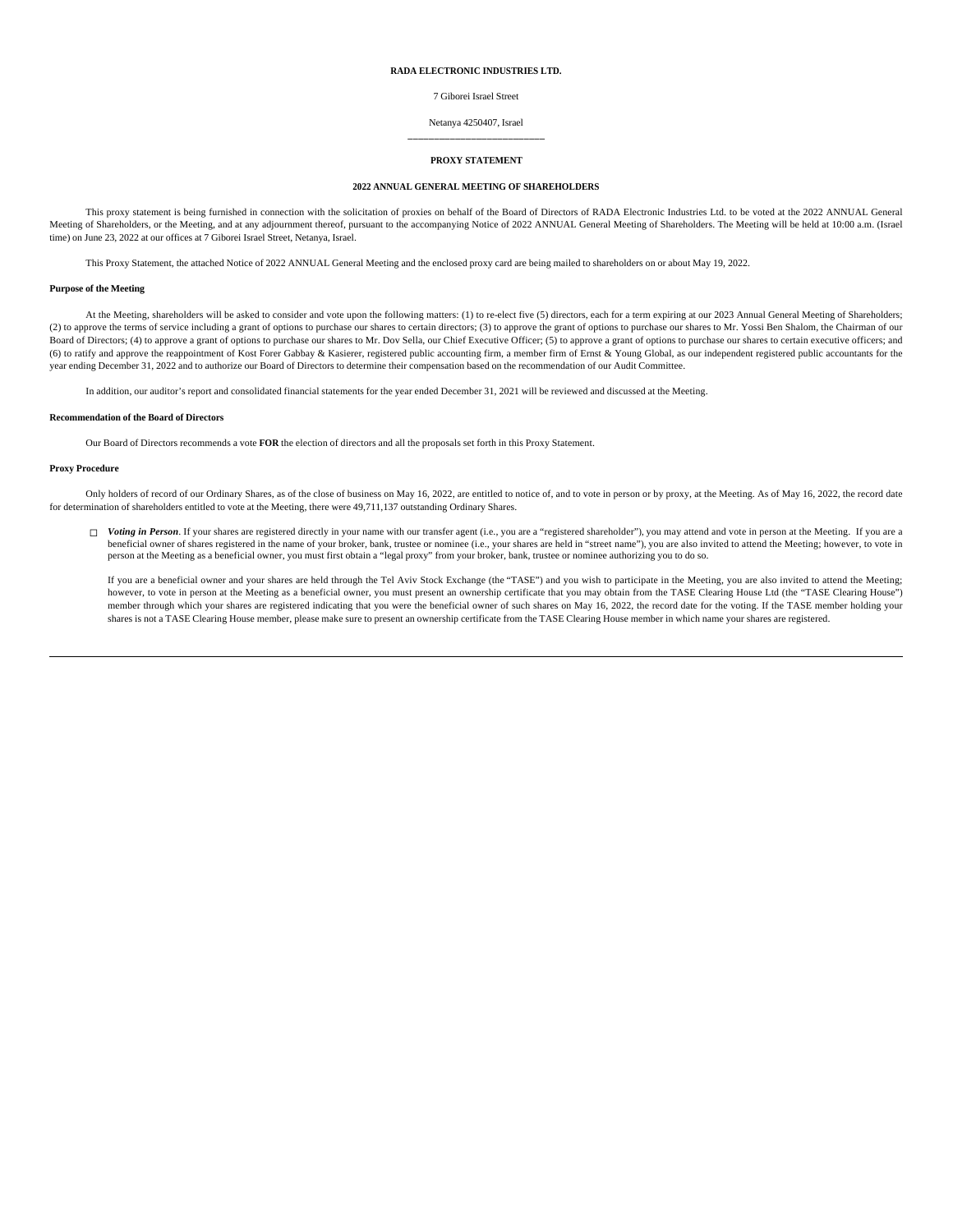### **RADA ELECTRONIC INDUSTRIES LTD.**

7 Giborei Israel Street

#### Netanya 4250407, Israel **\_\_\_\_\_\_\_\_\_\_\_\_\_\_\_\_\_\_\_\_\_\_\_\_\_\_**

#### **PROXY STATEMENT**

#### **2022 ANNUAL GENERAL MEETING OF SHAREHOLDERS**

This proxy statement is being furnished in connection with the solicitation of proxies on behalf of the Board of Directors of RADA Electronic Industries Ltd. to be voted at the 2022 ANNUAL General Meeting of Shareholders, or the Meeting, and at any adjournment thereof, pursuant to the accompanying Notice of 2022 ANNUAL General Meeting of Shareholders. The Meeting will be held at 10:00 a.m. (Israel time) on June 23, 2022 at our offices at 7 Giborei Israel Street, Netanya, Israel.

This Proxy Statement, the attached Notice of 2022 ANNUAL General Meeting and the enclosed proxy card are being mailed to shareholders on or about May 19, 2022.

#### **Purpose of the Meeting**

At the Meeting, shareholders will be asked to consider and vote upon the following matters: (1) to re-elect five (5) directors, each for a term expiring at our 2023 Annual General Meeting of Shareholders; (2) to approve the terms of service including a grant of options to purchase our shares to certain directors; (3) to approve the grant of options to purchase our shares to Mr. Yossi Ben Shalom, the Chairman of our Board of Directors; (4) to approve a grant of options to purchase our shares to Mr. Dov Sella, our Chief Executive Officer; (5) to approve a grant of options to purchase our shares to certain executive officers; and (6) to ratify and approve the reappointment of Kost Forer Gabbay & Kasierer, registered public accounting firm, a member firm of Ernst & Young Global, as our independent registered public accountants for the year ending December 31, 2022 and to authorize our Board of Directors to determine their compensation based on the recommendation of our Audit Committee.

In addition, our auditor's report and consolidated financial statements for the year ended December 31, 2021 will be reviewed and discussed at the Meeting.

#### **Recommendation of the Board of Directors**

Our Board of Directors recommends a vote **FOR** the election of directors and all the proposals set forth in this Proxy Statement.

#### **Proxy Procedure**

Only holders of record of our Ordinary Shares, as of the close of business on May 16, 2022, are entitled to notice of, and to vote in person or by proxy, at the Meeting. As of May 16, 2022, the record date for determination of shareholders entitled to vote at the Meeting, there were 49,711,137 outstanding Ordinary Shares.

□ Voting in Person. If your shares are registered directly in your name with our transfer agent (i.e., you are a "registered shareholder"), you may attend and vote in person at the Meeting. If you are a beneficial owner of shares registered in the name of your broker, bank, trustee or nominee (i.e., your shares are held in "street name"), you are also invited to attend the Meeting; however, to vote in<br>person at the Meetin

If you are a beneficial owner and your shares are held through the Tel Aviv Stock Exchange (the "TASE") and you wish to participate in the Meeting, you are also invited to attend the Meeting; however, to vote in person at the Meeting as a beneficial owner, you must present an ownership certificate that you may obtain from the TASE Clearing House Ltd (the "TASE Clearing House") member through which your shares are registered indicating that you were the beneficial owner of such shares on May 16, 2022, the record date for the voting. If the TASE member holding your shares is not a TASE Clearing House member, please make sure to present an ownership certificate from the TASE Clearing House member in which name your shares are registered.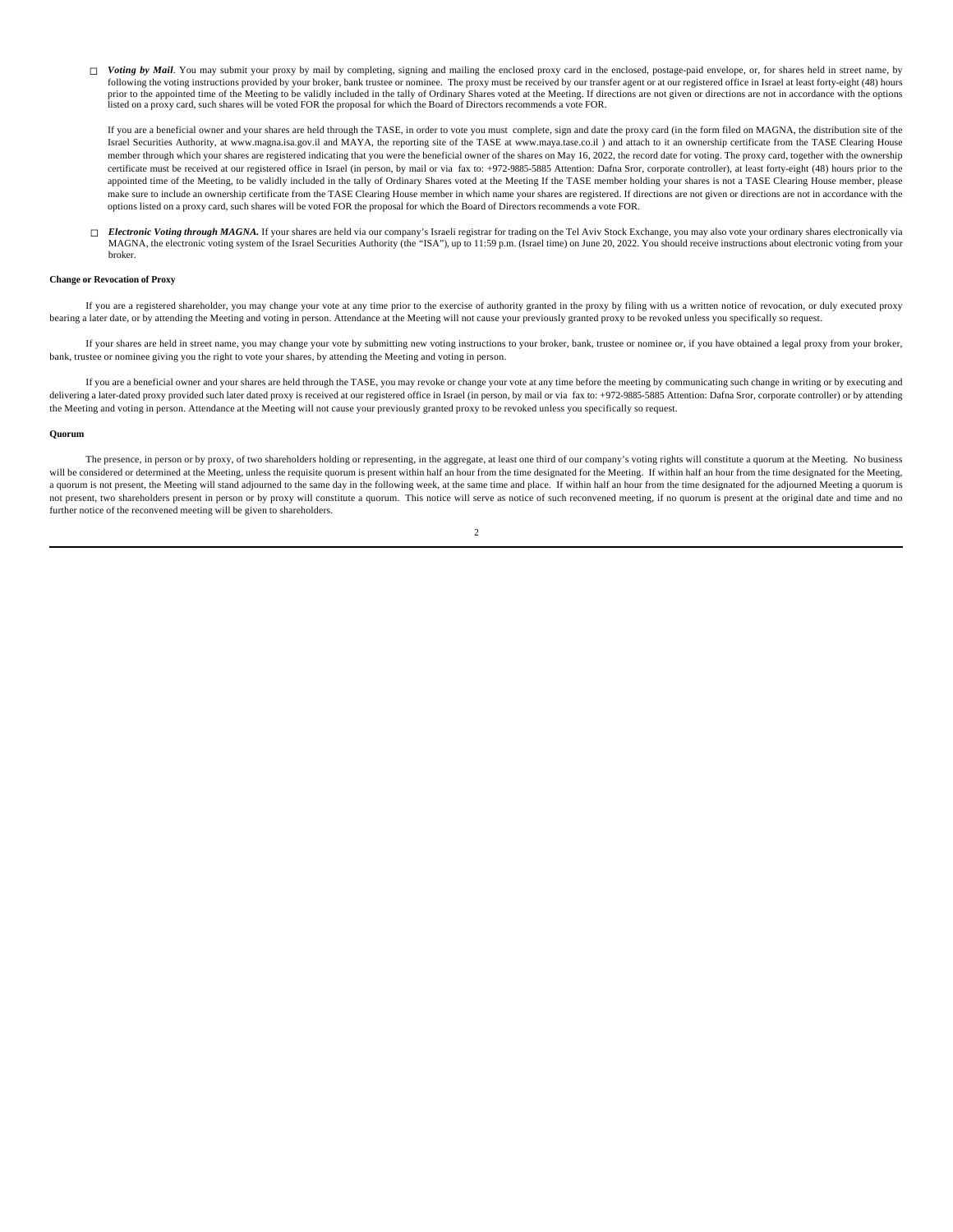□ Voting by Mail. You may submit your proxy by mail by completing, signing and mailing the enclosed proxy card in the enclosed, postage-paid envelope, or, for shares held in street name, by following the voting instructions provided by your broker, bank trustee or nominee. The proxy must be received by our transfer agent or at our registered office in Israel at least forty-eight (48) hours prior to the appointed time of the Meeting to be validly included in the tally of Ordinary Shares voted at the Meeting. If directions are not given or directions are not in accordance with the options listed on a proxy card, such shares will be voted FOR the proposal for which the Board of Directors recommends a vote FOR.

If you are a beneficial owner and your shares are held through the TASE, in order to vote you must complete, sign and date the proxy card (in the form filed on MAGNA, the distribution site of the Israel Securities Authority, at www.magna.isa.gov.il and MAYA, the reporting site of the TASE at www.maya.tase.co.il ) and attach to it an ownership certificate from the TASE Clearing House member through which your shares are registered indicating that you were the beneficial owner of the shares on May 16, 2022, the record date for voting. The proxy card, together with the ownership certificate must be received at our registered office in Israel (in person, by mail or via fax to: +972-9885-5885 Attention: Dafna Sror, corporate controller), at least forty-eight (48) hours prior to the appointed time of the Meeting, to be validly included in the tally of Ordinary Shares voted at the Meeting If the TASE member holding your shares is not a TASE Clearing House member, please make sure to include an ownership certificate from the TASE Clearing House member in which name your shares are registered. If directions are not given or directions are not in accordance with the options listed on a proxy card, such shares will be voted FOR the proposal for which the Board of Directors recommends a vote FOR.

□ *Electronic Voting through MAGNA*. If your shares are held via our company's Israeli registrar for trading on the Tel Aviv Stock Exchange, you may also vote your ordinary shares electronically via MAGNA, the electronic voting system of the Israel Securities Authority (the "ISA"), up to 11:59 p.m. (Israel time) on June 20, 2022. You should receive instructions about electronic voting from your broker.

#### **Change or Revocation of Proxy**

If you are a registered shareholder, you may change your vote at any time prior to the exercise of authority granted in the proxy by filing with us a written notice of revocation, or duly executed proxy bearing a later date, or by attending the Meeting and voting in person. Attendance at the Meeting will not cause your previously granted proxy to be revoked unless you specifically so request.

If your shares are held in street name, you may change your vote by submitting new voting instructions to your broker, bank, trustee or nominee or, if you have obtained a legal proxy from your broker, bank, trustee or nominee giving you the right to vote your shares, by attending the Meeting and voting in person.

If you are a beneficial owner and your shares are held through the TASE, you may revoke or change your vote at any time before the meeting by communicating such change in writing or by executing and delivering a later-dated proxy provided such later dated proxy is received at our registered office in Israel (in person, by mail or via fax to: +972-9885-5885 Attention: Dafna Sror, corporate controller) or by attending the Meeting and voting in person. Attendance at the Meeting will not cause your previously granted proxy to be revoked unless you specifically so request.

#### **Quorum**

The presence, in person or by proxy, of two shareholders holding or representing, in the aggregate, at least one third of our company's voting rights will constitute a quorum at the Meeting. No business will be considered or determined at the Meeting, unless the requisite quorum is present within half an hour from the time designated for the Meeting of the Meeting. If within half an hour from the time designated for the M a quorum is not present, the Meeting will stand adjourned to the same day in the following week, at the same time and place. If within half an hour from the time designated for the adjourned Meeting a quorum is not present, two shareholders present in person or by proxy will constitute a quorum. This notice will serve as notice of such reconvened meeting, if no quorum is present at the original date and time and no further notice of the reconvened meeting will be given to shareholders.

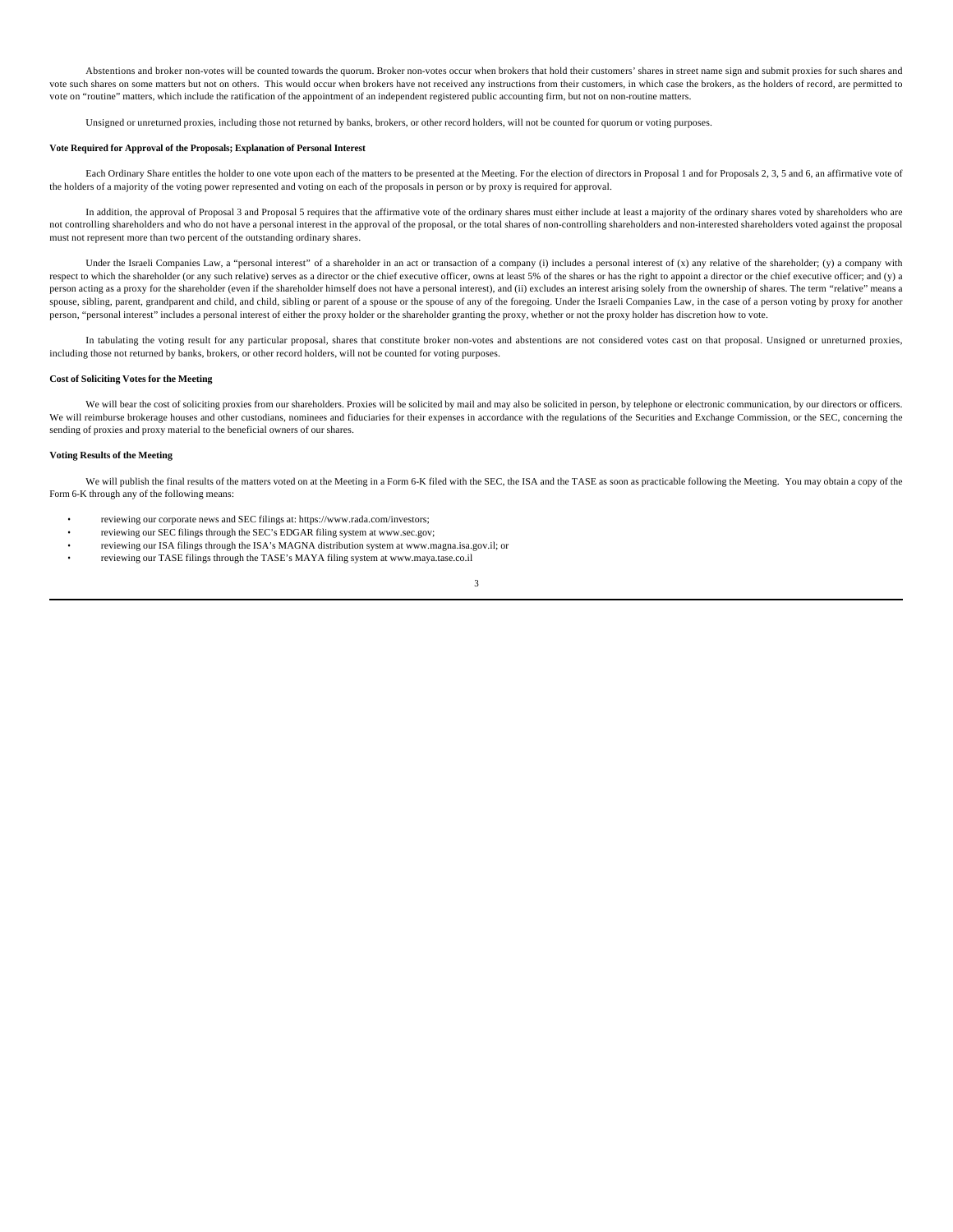Abstentions and broker non-votes will be counted towards the quorum. Broker non-votes occur when brokers that hold their customers' shares in street name sign and submit proxies for such shares and vote such shares on some matters but not on others. This would occur when brokers have not received any instructions from their customers, in which case the brokers, as the holders of record, are permitted to vote on "routine" matters, which include the ratification of the appointment of an independent registered public accounting firm, but not on non-routine matters.

Unsigned or unreturned proxies, including those not returned by banks, brokers, or other record holders, will not be counted for quorum or voting purposes.

#### **Vote Required for Approval of the Proposals; Explanation of Personal Interest**

Each Ordinary Share entitles the holder to one vote upon each of the matters to be presented at the Meeting. For the election of directors in Proposal 1 and for Proposals 2, 3, 5 and 6, an affirmative vote of the holders of a majority of the voting power represented and voting on each of the proposals in person or by proxy is required for approval.

In addition, the approval of Proposal 3 and Proposal 5 requires that the affirmative vote of the ordinary shares must either include at least a majority of the ordinary shares voted by shareholders who are not controlling shareholders and who do not have a personal interest in the approval of the proposal, or the total shares of non-controlling shareholders and non-interested shareholders voted against the proposal must not represent more than two percent of the outstanding ordinary shares.

Under the Israeli Companies Law, a "personal interest" of a shareholder in an act or transaction of a company (i) includes a personal interest of (x) any relative of the shareholder; (y) a company with respect to which the shareholder (or any such relative) serves as a director or the chief executive officer, owns at least 5% of the shares or has the right to appoint a director or the chief executive officer; and (y) a person acting as a proxy for the shareholder (even if the shareholder himself does not have a personal interest), and (ii) excludes an interest arising solely from the ownership of shares. The term "relative" means a spouse, sibling, parent, grandparent and child, and child, sibling or parent of a spouse or the spouse of any of the foregoing. Under the Israeli Companies Law, in the case of a person voting by proxy for another person, "personal interest" includes a personal interest of either the proxy holder or the shareholder granting the proxy, whether or not the proxy holder has discretion how to vote.

In tabulating the voting result for any particular proposal, shares that constitute broker non-votes and abstentions are not considered votes cast on that proposal. Unsigned or unreturned proxies, including those not returned by banks, brokers, or other record holders, will not be counted for voting purposes.

#### **Cost of Soliciting Votes for the Meeting**

We will bear the cost of soliciting proxies from our shareholders. Proxies will be solicited by mail and may also be solicited in person, by telephone or electronic communication, by our directors or officers. We will reimburse brokerage houses and other custodians, nominees and fiduciaries for their expenses in accordance with the regulations of the Securities and Exchange Commission, or the SEC, concerning the sending of proxies and proxy material to the beneficial owners of our shares.

#### **Voting Results of the Meeting**

We will publish the final results of the matters voted on at the Meeting in a Form 6-K filed with the SEC, the ISA and the TASE as soon as practicable following the Meeting. You may obtain a copy of the Form 6-K through any of the following means:

- reviewing our corporate news and SEC filings at: https://www.rada.com/investors;
- reviewing our SEC filings through the SEC's EDGAR filing system at www.sec.gov;
- reviewing our ISA filings through the ISA's MAGNA distribution system at www.magna.isa.gov.il; or
- reviewing our TASE filings through the TASE's MAYA filing system at www.maya.tase.co.il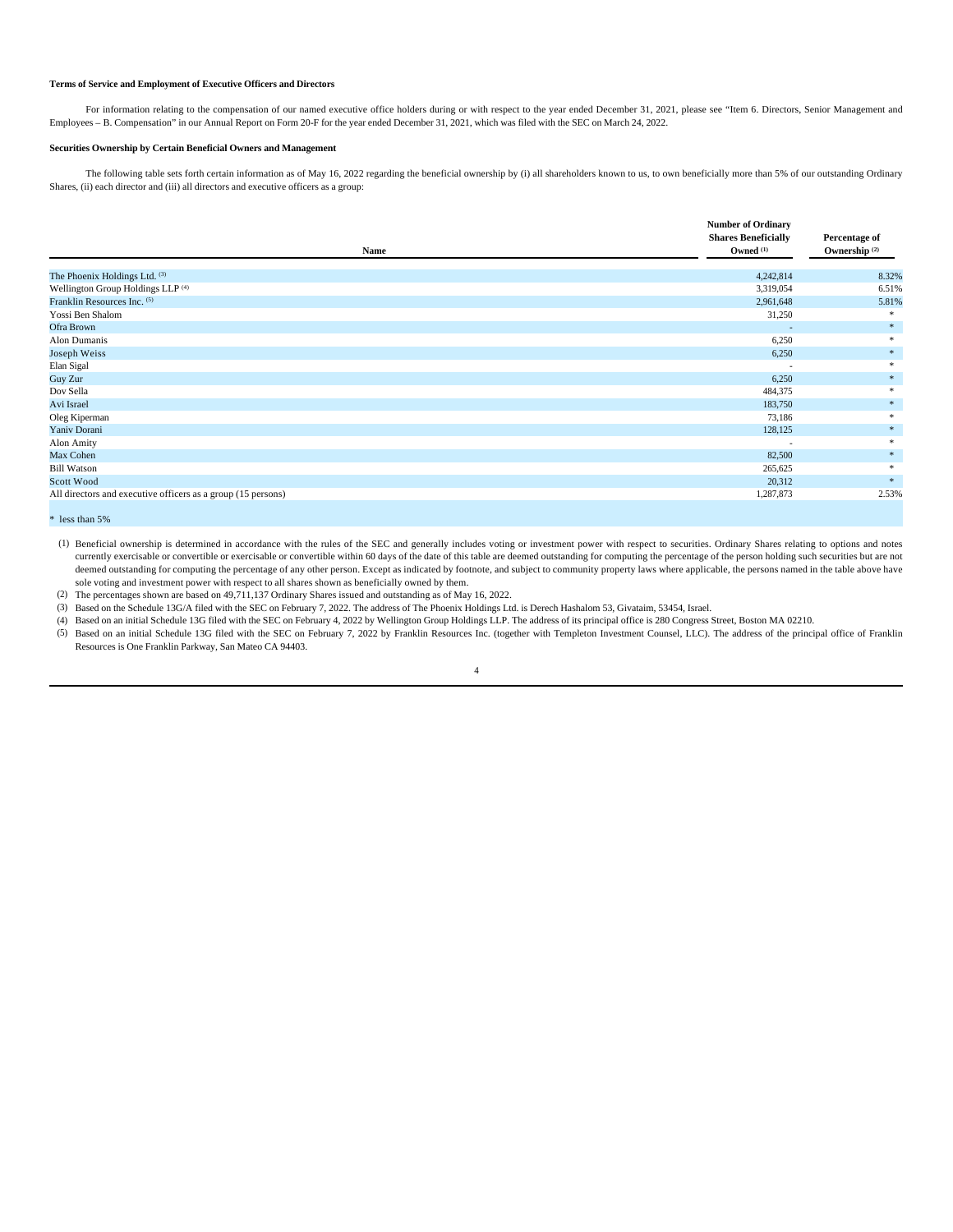### **Terms of Service and Employment of Executive Officers and Directors**

For information relating to the compensation of our named executive office holders during or with respect to the year ended December 31, 2021, please see "Item 6. Directors, Senior Management and Employees – B. Compensation" in our Annual Report on Form 20-F for the year ended December 31, 2021, which was filed with the SEC on March 24, 2022.

#### **Securities Ownership by Certain Beneficial Owners and Management**

The following table sets forth certain information as of May 16, 2022 regarding the beneficial ownership by (i) all shareholders known to us, to own beneficially more than 5% of our outstanding Ordinary Shares, (ii) each director and (iii) all directors and executive officers as a group:

|                                                              | <b>Number of Ordinary</b>  | Percentage of              |  |
|--------------------------------------------------------------|----------------------------|----------------------------|--|
|                                                              | <b>Shares Beneficially</b> |                            |  |
| Name                                                         | Owned (1)                  | Ownership <sup>(2)</sup>   |  |
|                                                              |                            |                            |  |
| The Phoenix Holdings Ltd. (3)                                | 4,242,814                  | 8.32%                      |  |
| Wellington Group Holdings LLP <sup>(4)</sup>                 | 3,319,054                  | 6.51%                      |  |
| Franklin Resources Inc. (5)                                  | 2,961,648                  | 5.81%                      |  |
| Yossi Ben Shalom                                             | 31,250                     |                            |  |
| Ofra Brown                                                   | $\sim$                     | *                          |  |
| Alon Dumanis                                                 | 6,250                      |                            |  |
| Joseph Weiss                                                 | 6,250                      | *                          |  |
| Elan Sigal                                                   | $\overline{\phantom{a}}$   | *                          |  |
| Guy Zur                                                      | 6,250                      | *                          |  |
| Dov Sella                                                    | 484,375                    |                            |  |
| Avi Israel                                                   | 183,750                    | *                          |  |
| Oleg Kiperman                                                | 73,186                     |                            |  |
| Yaniv Dorani                                                 | 128,125                    | 案。                         |  |
| Alon Amity                                                   | $\overline{\phantom{a}}$   | *                          |  |
| Max Cohen                                                    | 82,500                     | *                          |  |
| <b>Bill Watson</b>                                           | 265,625                    |                            |  |
| Scott Wood                                                   | 20,312                     | $\frac{1}{2} \mathbb{E}$ . |  |
| All directors and executive officers as a group (15 persons) | 1,287,873                  | 2.53%                      |  |

\* less than 5%

(1) Beneficial ownership is determined in accordance with the rules of the SEC and generally includes voting or investment power with respect to securities. Ordinary Shares relating to options and notes currently exercisable or convertible or exercisable or convertible within 60 days of the date of this table are deemed outstanding for computing the percentage of the person holding such securities but are not deemed outstanding for computing the percentage of any other person. Except as indicated by footnote, and subject to community property laws where applicable, the persons named in the table above have sole voting and investment power with respect to all shares shown as beneficially owned by them.

(2) The percentages shown are based on 49,711,137 Ordinary Shares issued and outstanding as of May 16, 2022.

(3) Based on the Schedule 13G/A filed with the SEC on February 7, 2022. The address of The Phoenix Holdings Ltd. is Derech Hashalom 53, Givataim, 53454, Israel.

(4) Based on an initial Schedule 13G filed with the SEC on February 4, 2022 by Wellington Group Holdings LLP. The address of its principal office is 280 Congress Street, Boston MA 02210.

(5) Based on an initial Schedule 13G filed with the SEC on February 7, 2022 by Franklin Resources Inc. (together with Templeton Investment Counsel, LLC). The address of the principal office of Franklin Resources is One Franklin Parkway, San Mateo CA 94403.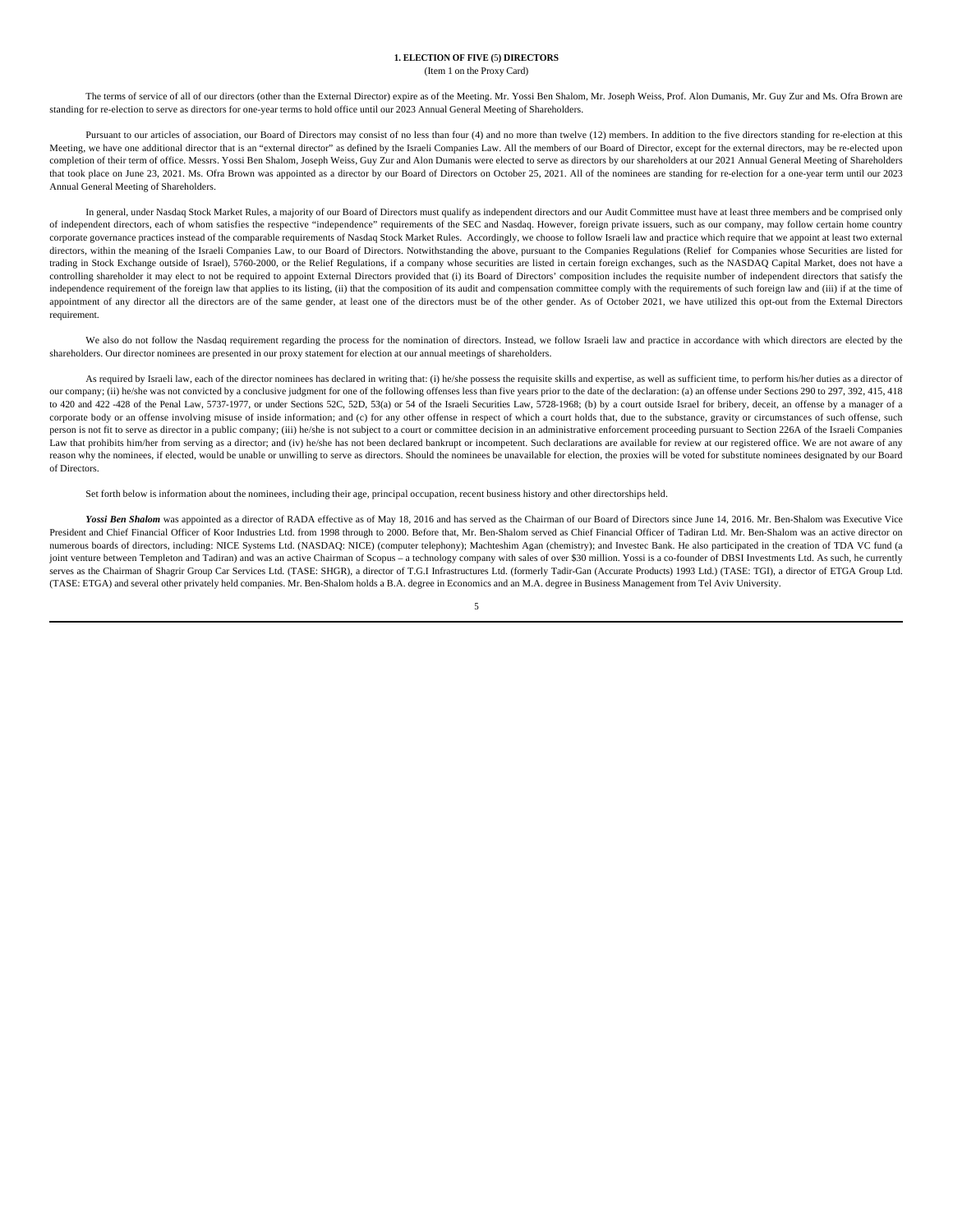#### **1. ELECTION OF FIVE (**5**) DIRECTORS** (Item 1 on the Proxy Card)

The terms of service of all of our directors (other than the External Director) expire as of the Meeting. Mr. Yossi Ben Shalom, Mr. Joseph Weiss, Prof. Alon Dumanis, Mr. Guy Zur and Ms. Ofra Brown are standing for re-election to serve as directors for one-year terms to hold office until our 2023 Annual General Meeting of Shareholders.

Pursuant to our articles of association, our Board of Directors may consist of no less than four (4) and no more than twelve (12) members. In addition to the five directors standing for re-election at this Meeting, we have completion of their term of office. Messrs. Yossi Ben Shalom, Joseph Weiss, Guy Zur and Alon Dumanis were elected to serve as directors by our shareholders at our 2021 Annual General Meeting of Shareholders that took place on June 23, 2021. Ms. Ofra Brown was appointed as a director by our Board of Directors on October 25, 2021. All of the nominees are standing for re-election for a one-year term until our 2023 Annual General Meeting of Shareholders.

In general, under Nasdaq Stock Market Rules, a majority of our Board of Directors must qualify as independent directors and our Audit Committee must have at least three members and be comprised only of independent directors, each of whom satisfies the respective "independence" requirements of the SEC and Nasdaq. However, foreign private issuers, such as our company, may follow certain home country corporate governance practices instead of the comparable requirements of Nasdaq Stock Market Rules. Accordingly, we choose to follow Israeli law and practice which require that we appoint at least two external directors, within the meaning of the Israeli Companies Law, to our Board of Directors. Notwithstanding the above, pursuant to the Companies Regulations (Relief for Companies whose Securities are listed for trading in Stock Exchange outside of Israel), 5760-2000, or the Relief Regulations, if a company whose securities are listed in certain foreign exchanges, such as the NASDAQ Capital Market, does not have a controlling shareholder it may elect to not be required to appoint External Directors provided that (i) its Board of Directors' composition includes the requisite number of independent directors that satisfy the independence requirement of the foreign law that applies to its listing, (ii) that the composition of its audit and compensation committee comply with the requirements of such foreign law and (iii) if at the time of appointment of any director all the directors are of the same gender, at least one of the directors must be of the other gender. As of October 2021, we have utilized this opt-out from the External Directors requirement.

We also do not follow the Nasdaq requirement regarding the process for the nomination of directors. Instead, we follow Israeli law and practice in accordance with which directors are elected by the shareholders. Our director nominees are presented in our proxy statement for election at our annual meetings of shareholders.

As required by Israeli law, each of the director nominees has declared in writing that: (i) he/she possess the requisite skills and expertise, as well as sufficient time, to perform his/her duties as a director of our company; (ii) he/she was not convicted by a conclusive judgment for one of the following offenses less than five years prior to the date of the declaration: (a) an offense under Sections 290 to 297, 392, 415, 418 to 420 and 422 -428 of the Penal Law, 5737-1977, or under Sections 52C, 52D, 53(a) or 54 of the Israeli Securities Law, 5728-1968; (b) by a court outside Israel for bribery, deceit, an offense by a manager of a corporate body or an offense involving misuse of inside information; and (c) for any other offense in respect of which a court holds that, due to the substance, gravity or circumstances of such offense, such person is not fit to serve as director in a public company; (iii) he/she is not subject to a court or committee decision in an administrative enforcement proceeding pursuant to Section 226A of the Israeli Companies Law that prohibits him/her from serving as a director; and (iv) he/she has not been declared bankrupt or incompetent. Such declarations are available for review at our registered office. We are not aware of any reason why the nominees, if elected, would be unable or unwilling to serve as directors. Should the nominees be unavailable for election, the proxies will be voted for substitute nominees designated by our Board of Directors.

Set forth below is information about the nominees, including their age, principal occupation, recent business history and other directorships held.

Yossi Ben Shalom was appointed as a director of RADA effective as of May 18, 2016 and has served as the Chairman of our Board of Directors since June 14, 2016. Mr. Ben-Shalom was Executive Vice President and Chief Financial Officer of Koor Industries Ltd. from 1998 through to 2000. Before that, Mr. Ben-Shalom served as Chief Financial Officer of Tadiran Ltd. Mr. Ben-Shalom was an active director on numerous boards of directors, including: NICE Systems Ltd. (NASDAQ: NICE) (computer telephony); Machteshim Agan (chemistry); and Investec Bank. He also participated in the creation of TDA VC fund (a joint venture between Templeton and Tadiran) and was an active Chairman of Scopus – a technology company with sales of over \$30 million. Yossi is a co-founder of DBSI Investments Ltd. As such, he currently serves as the Chairman of Shagrir Group Car Services Ltd. (TASE: SHGR), a director of T.G.I Infrastructures Ltd. (formerly Tadir-Gan (Accurate Products) 1993 Ltd.) (TASE: TGI), a director of ETGA Group Ltd. (TASE: ETGA) and several other privately held companies. Mr. Ben-Shalom holds a B.A. degree in Economics and an M.A. degree in Business Management from Tel Aviv University.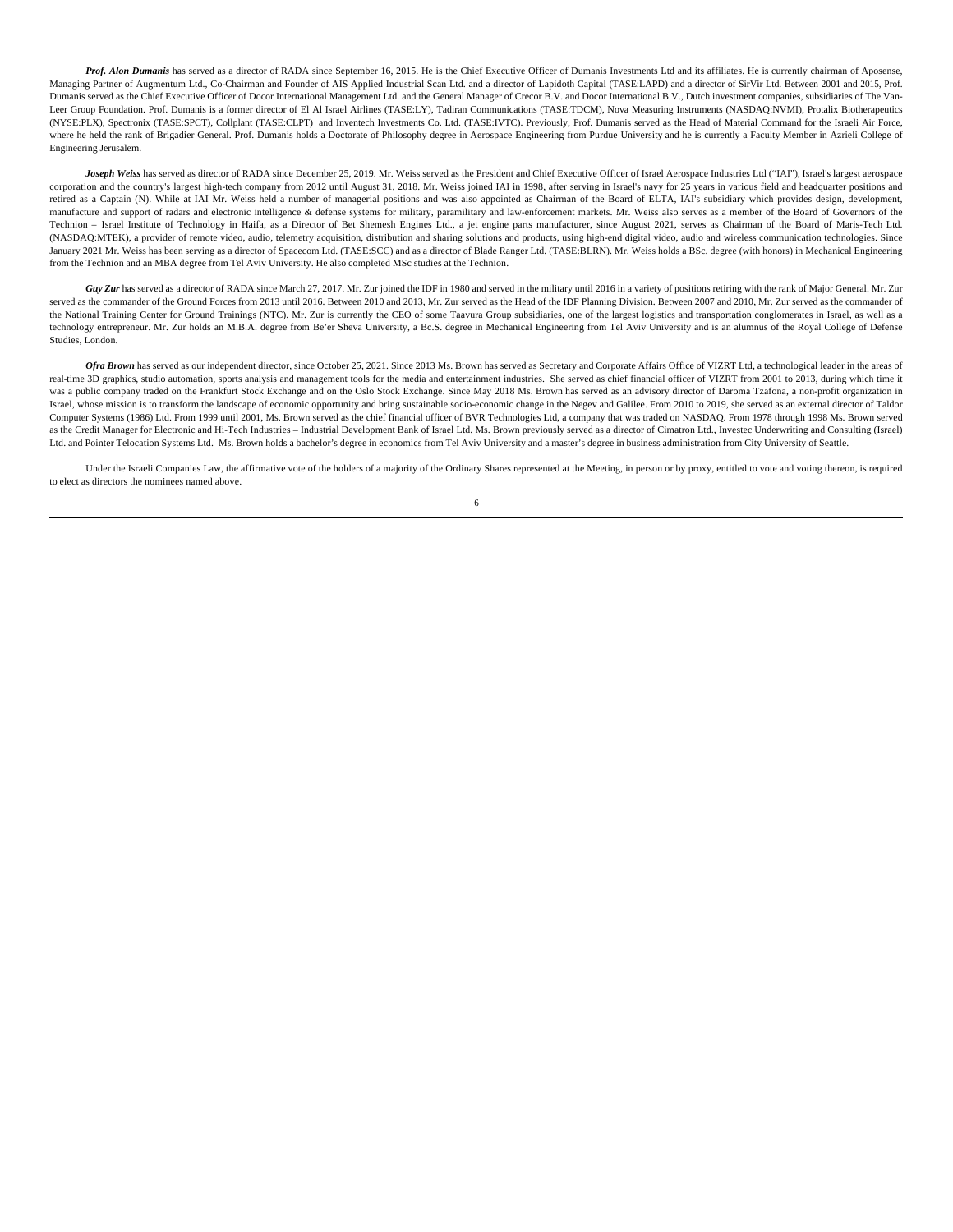Prof. Alon Dumanis has served as a director of RADA since September 16, 2015. He is the Chief Executive Officer of Dumanis Investments Ltd and its affiliates. He is currently chairman of Aposense, Managing Partner of Augmentum Ltd., Co-Chairman and Founder of AIS Applied Industrial Scan Ltd. and a director of Lapidoth Capital (TASE:LAPD) and a director of SirVir Ltd. Between 2001 and 2015, Prof. Dumanis served as the Chief Executive Officer of Docor International Management Ltd. and the General Manager of Crecor B.V. and Docor International B.V., Dutch investment companies, subsidiaries of The Van-Leer Group Foundation. Prof. Dumanis is a former director of El Al Israel Airlines (TASE:LY), Tadiran Communications (TASE:TDCM), Nova Measuring Instruments (NASDAQ:NVMI), Protalix Biotherapeutics (NYSE:PLX), Spectronix (TASE:SPCT), Collplant (TASE:CLPT) and Inventech Investments Co. Ltd. (TASE:IVTC). Previously, Prof. Dumanis served as the Head of Material Command for the Israeli Air Force, where he held the rank of Brigadier General. Prof. Dumanis holds a Doctorate of Philosophy degree in Aerospace Engineering from Purdue University and he is currently a Faculty Member in Azrieli College of Engineering Jerusalem.

*Joseph Weiss* has served as director of RADA since December 25, 2019. Mr. Weiss served as the President and Chief Executive Officer of Israel Aerospace Industries Ltd ("IAI"), Israel's largest aerospace corporation and the country's largest high-tech company from 2012 until August 31, 2018. Mr. Weiss joined IAI in 1998, after serving in Israel's navy for 25 years in various field and headquarter positions and retired as a Captain (N). While at IAI Mr. Weiss held a number of managerial positions and was also appointed as Chairman of the Board of ELTA, IAI's subsidiary which provides design, development, manufacture and support of radars and electronic intelligence & defense systems for military, paramilitary and law-enforcement markets. Mr. Weiss also serves as a member of the Board of Governors of the Technion - Israel Institute of Technology in Haifa, as a Director of Bet Shemesh Engines Ltd., a jet engine parts manufacturer, since August 2021, serves as Chairman of the Board of Maris-Tech Ltd. (NASDAQ:MTEK), a provider of remote video, audio, telemetry acquisition, distribution and sharing solutions and products, using high-end digital video, audio and wireless communication technologies. Since January 2021 Mr. Weiss has been serving as a director of Spacecom Ltd. (TASE:SCC) and as a director of Blade Ranger Ltd. (TASE:BLRN). Mr. Weiss holds a BSc. degree (with honors) in Mechanical Engineering from the Technion and an MBA degree from Tel Aviv University. He also completed MSc studies at the Technion.

*Guy Zur* has served as a director of RADA since March 27, 2017. Mr. Zur joined the IDF in 1980 and served in the military until 2016 in a variety of positions retiring with the rank of Major General. Mr. Zur served as the commander of the Ground Forces from 2013 until 2016. Between 2010 and 2013, Mr. Zur served as the Head of the IDF Planning Division. Between 2007 and 2010, Mr. Zur served as the commander of the National Training Center for Ground Trainings (NTC). Mr. Zur is currently the CEO of some Taavura Group subsidiaries, one of the largest logistics and transportation conglomerates in Israel, as well as a technology entrepreneur. Mr. Zur holds an M.B.A. degree from Be'er Sheva University, a Bc.S. degree in Mechanical Engineering from Tel Aviv University and is an alumnus of the Royal College of Defense Studies, London.

Ofra Brown has served as our independent director, since October 25, 2021. Since 2013 Ms. Brown has served as Secretary and Corporate Affairs Office of VIZRT Ltd, a technological leader in the areas of real-time 3D graphics, studio automation, sports analysis and management tools for the media and entertainment industries. She served as chief financial officer of VIZRT from 2001 to 2013, during which time it was a public company traded on the Frankfurt Stock Exchange and on the Oslo Stock Exchange. Since May 2018 Ms. Brown has served as an advisory director of Daroma Tzafona, a non-profit organization in Israel, whose mission is to transform the landscape of economic opportunity and bring sustainable socio-economic change in the Negev and Galilee. From 2010 to 2019, she served as an external director of Taldor Computer Systems (1986) Ltd. From 1999 until 2001, Ms. Brown served as the chief financial officer of BVR Technologies Ltd, a company that was traded on NASDAQ. From 1978 through 1998 Ms. Brown served as the Credit Manager for Electronic and Hi-Tech Industries – Industrial Development Bank of Israel Ltd. Ms. Brown previously served as a director of Cimatron Ltd., Investec Underwriting and Consulting (Israel) Ltd. and Pointer Telocation Systems Ltd. Ms. Brown holds a bachelor's degree in economics from Tel Aviv University and a master's degree in business administration from City University of Seattle.

Under the Israeli Companies Law, the affirmative vote of the holders of a majority of the Ordinary Shares represented at the Meeting, in person or by proxy, entitled to vote and voting thereon, is required to elect as directors the nominees named above. 6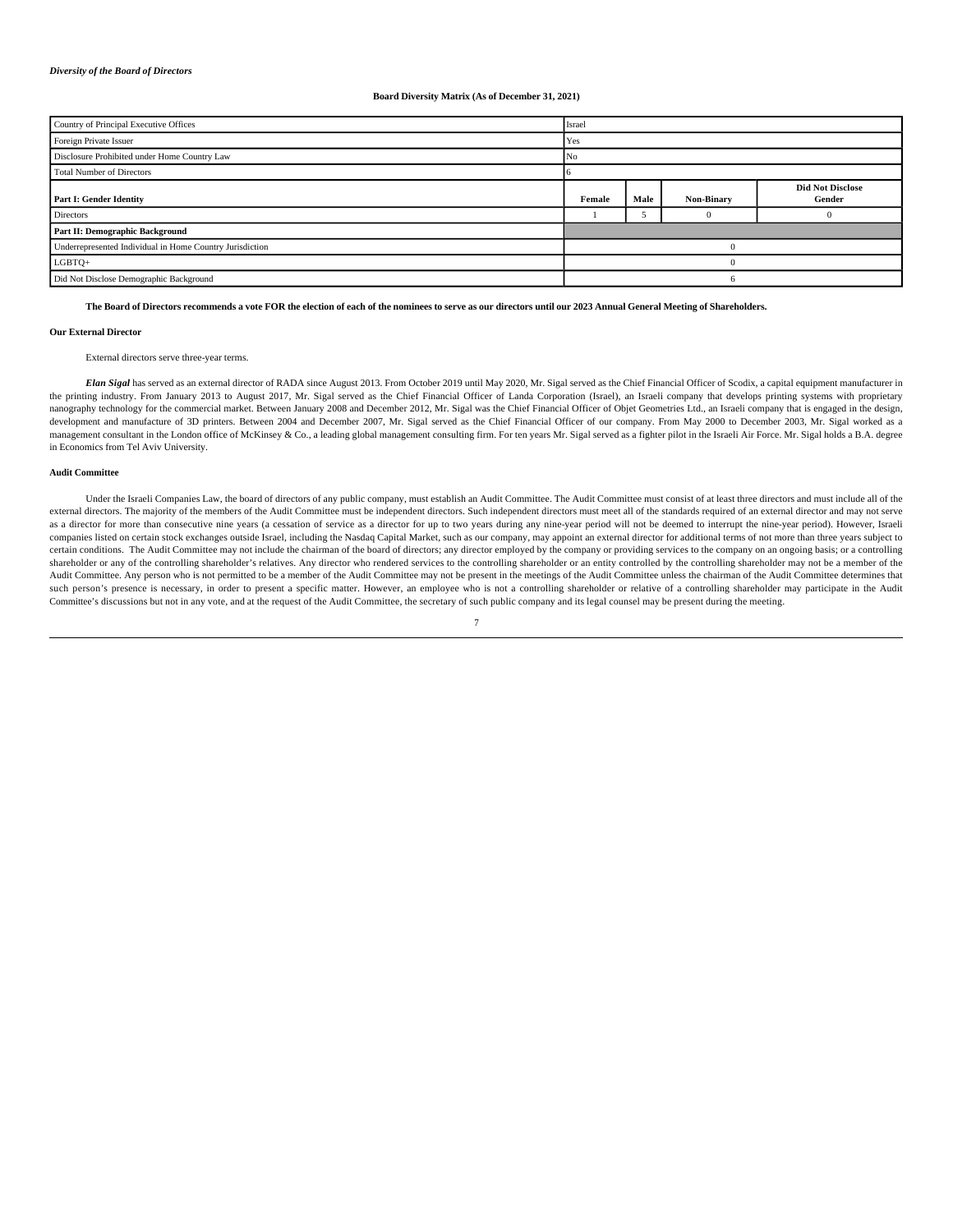#### *Diversity of the Board of Directors*

#### **Board Diversity Matrix (As of December 31, 2021)**

| Country of Principal Executive Offices                   | Israel   |      |            |                                   |  |
|----------------------------------------------------------|----------|------|------------|-----------------------------------|--|
| Foreign Private Issuer                                   | Yes      |      |            |                                   |  |
| Disclosure Prohibited under Home Country Law             | No       |      |            |                                   |  |
| <b>Total Number of Directors</b>                         |          |      |            |                                   |  |
| Part I: Gender Identity                                  | Female   | Male | Non-Binary | <b>Did Not Disclose</b><br>Gender |  |
| Directors                                                |          |      | $^{\circ}$ |                                   |  |
| Part II: Demographic Background                          |          |      |            |                                   |  |
| Underrepresented Individual in Home Country Jurisdiction |          |      |            |                                   |  |
| LGBTQ+                                                   | $\Omega$ |      |            |                                   |  |
| Did Not Disclose Demographic Background                  |          |      |            |                                   |  |

**The Board of Directors recommends a vote FOR the election of each of the nominees to serve as our directors until our 2023 Annual General Meeting of Shareholders.**

#### **Our External Director**

## External directors serve three-year terms.

*Elan Sigal* has served as an external director of RADA since August 2013. From October 2019 until May 2020, Mr. Sigal served as the Chief Financial Officer of Scodix, a capital equipment manufacturer in the printing industry. From January 2013 to August 2017, Mr. Sigal served as the Chief Financial Officer of Landa Corporation (Israel), an Israeli company that develops printing systems with proprietary nanography technology for the commercial market. Between January 2008 and December 2012, Mr. Sigal was the Chief Financial Officer of Objet Geometries Ltd., an Israeli company that is engaged in the design, development and manufacture of 3D printers. Between 2004 and December 2007, Mr. Sigal served as the Chief Financial Officer of our company. From May 2000 to December 2003, Mr. Sigal worked as a management consultant in the London office of McKinsey & Co., a leading global management consulting firm. For ten years Mr. Sigal served as a fighter pilot in the Israeli Air Force. Mr. Sigal holds a B.A. degree in Economics from Tel Aviv University.

#### **Audit Committee**

Under the Israeli Companies Law, the board of directors of any public company, must establish an Audit Committee. The Audit Committee must consist of at least three directors and must include all of the external directors. The majority of the members of the Audit Committee must be independent directors. Such independent directors must meet all of the standards required of an external director and may not serve as a director for more than consecutive nine years (a cessation of service as a director for up to two years during any nine-year period will not be deemed to interrupt the nine-year period). However, Israeli companies listed on certain stock exchanges outside Israel, including the Nasdaq Capital Market, such as our company, may appoint an external director for additional terms of not more than three years subject to certain conditions. The Audit Committee may not include the chairman of the board of directors; any director employed by the company or providing services to the company on an ongoing basis; or a controlling shareholder or any of the controlling shareholder's relatives. Any director who rendered services to the controlling shareholder or an entity controlled by the controlling shareholder may not be a member of the Audit Committee. Any person who is not permitted to be a member of the Audit Committee may not be present in the meetings of the Audit Committee unless the chairman of the Audit Committee determines that such person's presence is necessary, in order to present a specific matter. However, an employee who is not a controlling shareholder or relative of a controlling shareholder may participate in the Audit Committee's discussions but not in any vote, and at the request of the Audit Committee, the secretary of such public company and its legal counsel may be present during the meeting.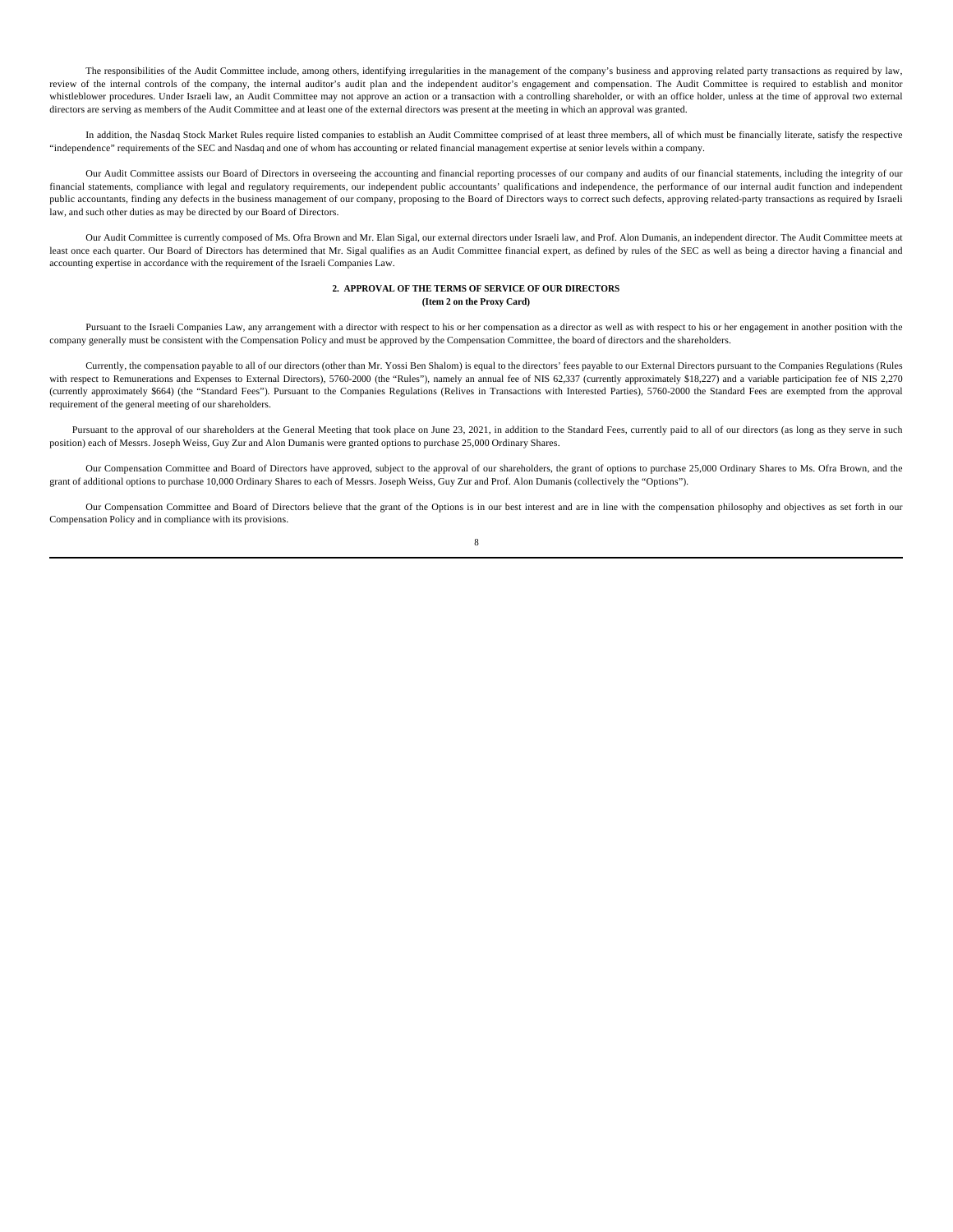The responsibilities of the Audit Committee include, among others, identifying irregularities in the management of the company's business and approving related party transactions as required by law, review of the internal controls of the company, the internal auditor's audit plan and the independent auditor's engagement and compensation. The Audit Committee is required to establish and monitor whistleblower procedures. Under Israeli law, an Audit Committee may not approve an action or a transaction with a controlling shareholder, or with an office holder, unless at the time of approval two external directors are serving as members of the Audit Committee and at least one of the external directors was present at the meeting in which an approval was granted.

In addition, the Nasdaq Stock Market Rules require listed companies to establish an Audit Committee comprised of at least three members, all of which must be financially literate, satisfy the respective "independence" requirements of the SEC and Nasdaq and one of whom has accounting or related financial management expertise at senior levels within a company.

Our Audit Committee assists our Board of Directors in overseeing the accounting and financial reporting processes of our company and audits of our financial statements, including the integrity of our financial statements, compliance with legal and regulatory requirements, our independent public accountants' qualifications and independence, the performance of our internal audit function and independent public accountants, finding any defects in the business management of our company, proposing to the Board of Directors ways to correct such defects, approving related-party transactions as required by Israeli law, and such other duties as may be directed by our Board of Directors.

Our Audit Committee is currently composed of Ms. Ofra Brown and Mr. Elan Sigal, our external directors under Israeli law, and Prof. Alon Dumanis, an independent director. The Audit Committee meets at least once each quarter. Our Board of Directors has determined that Mr. Sigal qualifies as an Audit Committee financial expert, as defined by rules of the SEC as well as being a director having a financial and accounting expertise in accordance with the requirement of the Israeli Companies Law.

#### **2. APPROVAL OF THE TERMS OF SERVICE OF OUR DIRECTORS (Item 2 on the Proxy Card)**

Pursuant to the Israeli Companies Law, any arrangement with a director with respect to his or her compensation as a director as well as with respect to his or her engagement in another position with the company generally must be consistent with the Compensation Policy and must be approved by the Compensation Committee, the board of directors and the shareholders.

Currently, the compensation payable to all of our directors (other than Mr. Yossi Ben Shalom) is equal to the directors' fees payable to our External Directors pursuant to the Companies Regulations (Rules with respect to Remunerations and Expenses to External Directors), 5760-2000 (the "Rules"), namely an annual fee of NIS 62,337 (currently approximately \$18,227) and a variable participation fee of NIS 2,270 (currently approximately \$664) (the "Standard Fees"). Pursuant to the Companies Regulations (Relives in Transactions with Interested Parties), 5760-2000 the Standard Fees are exempted from the approval requirement of the general meeting of our shareholders.

Pursuant to the approval of our shareholders at the General Meeting that took place on June 23, 2021, in addition to the Standard Fees, currently paid to all of our directors (as long as they serve in such position) each of Messrs. Joseph Weiss, Guy Zur and Alon Dumanis were granted options to purchase 25,000 Ordinary Shares.

Our Compensation Committee and Board of Directors have approved, subject to the approval of our shareholders, the grant of options to purchase 25,000 Ordinary Shares to Ms. Ofra Brown, and the grant of additional options to purchase 10,000 Ordinary Shares to each of Messrs. Joseph Weiss, Guy Zur and Prof. Alon Dumanis (collectively the "Options").

Our Compensation Committee and Board of Directors believe that the grant of the Options is in our best interest and are in line with the compensation philosophy and objectives as set forth in our Compensation Policy and in compliance with its provisions.

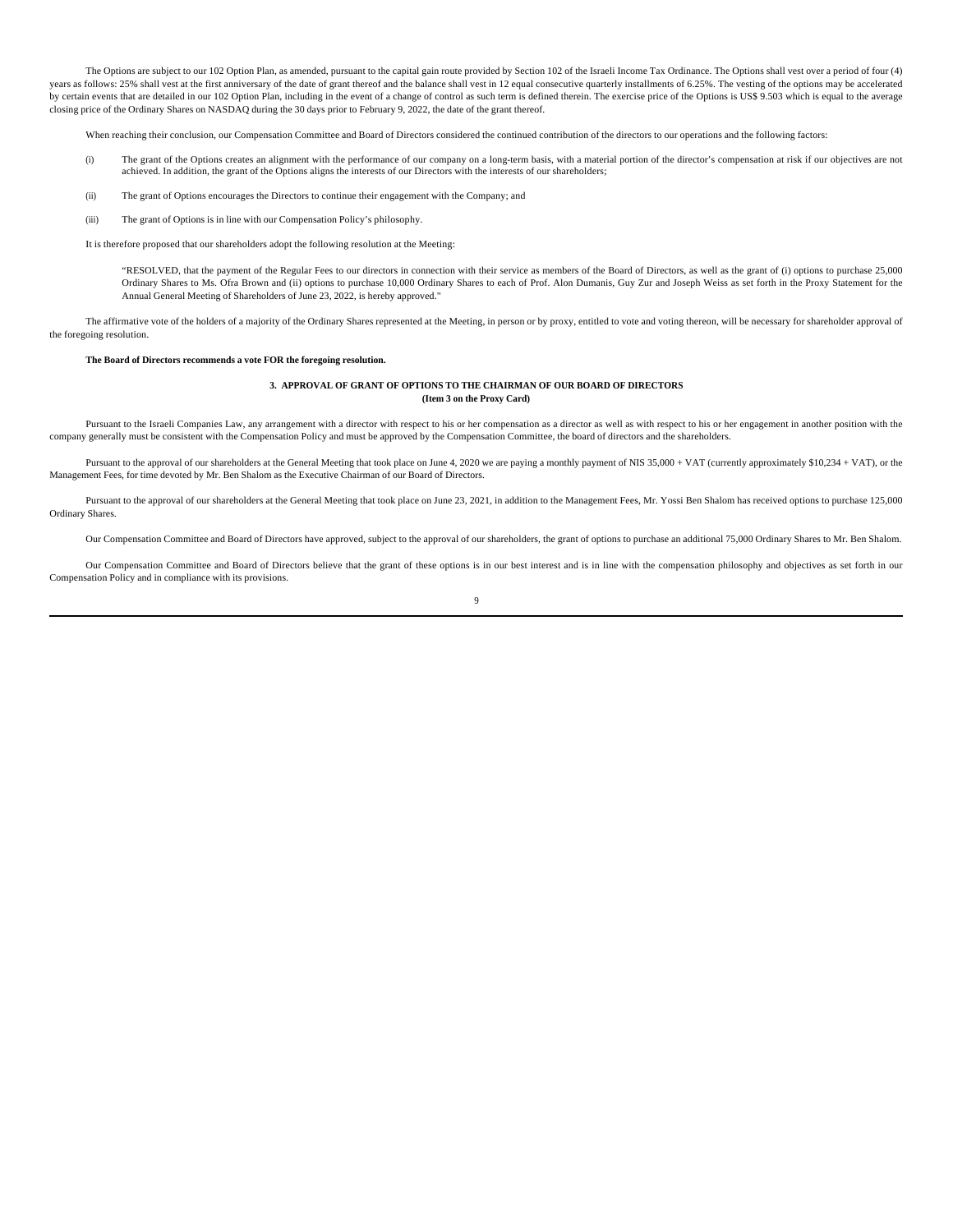The Options are subject to our 102 Option Plan, as amended, pursuant to the capital gain route provided by Section 102 of the Israeli Income Tax Ordinance. The Options shall vest over a period of four (4) years as follows: 25% shall vest at the first anniversary of the date of grant thereof and the balance shall vest in 12 equal consecutive quarterly installments of 6.25%. The vesting of the options may be accelerated by certain events that are detailed in our 102 Option Plan, including in the event of a change of control as such term is defined therein. The exercise price of the Options is US\$ 9.503 which is equal to the average closing price of the Ordinary Shares on NASDAQ during the 30 days prior to February 9, 2022, the date of the grant thereof.

When reaching their conclusion, our Compensation Committee and Board of Directors considered the continued contribution of the directors to our operations and the following factors:

- (i) The grant of the Options creates an alignment with the performance of our company on a long-term basis, with a material portion of the director's compensation at risk if our objectives are not achieved. In addition, the grant of the Options aligns the interests of our Directors with the interests of our shareholders;
- (ii) The grant of Options encourages the Directors to continue their engagement with the Company; and
- (iii) The grant of Options is in line with our Compensation Policy's philosophy.

It is therefore proposed that our shareholders adopt the following resolution at the Meeting:

"RESOLVED, that the payment of the Regular Fees to our directors in connection with their service as members of the Board of Directors, as well as the grant of (i) options to purchase 25,000 Ordinary Shares to Ms. Ofra Brown and (ii) options to purchase 10,000 Ordinary Shares to each of Prof. Alon Dumanis, Guy Zur and Joseph Weiss as set forth in the Proxy Statement for the Annual General Meeting of Shareholders of June 23, 2022, is hereby approved."

The affirmative vote of the holders of a majority of the Ordinary Shares represented at the Meeting, in person or by proxy, entitled to vote and voting thereon, will be necessary for shareholder approval of the foregoing resolution.

#### **The Board of Directors recommends a vote FOR the foregoing resolution.**

#### **3. APPROVAL OF GRANT OF OPTIONS TO THE CHAIRMAN OF OUR BOARD OF DIRECTORS (Item 3 on the Proxy Card)**

Pursuant to the Israeli Companies Law, any arrangement with a director with respect to his or her compensation as a director as well as with respect to his or her engagement in another position with the company generally must be consistent with the Compensation Policy and must be approved by the Compensation Committee, the board of directors and the shareholders.

Pursuant to the approval of our shareholders at the General Meeting that took place on June 4, 2020 we are paying a monthly payment of NIS 35,000 + VAT (currently approximately \$10,234 + VAT), or the Management Fees, for time devoted by Mr. Ben Shalom as the Executive Chairman of our Board of Directors.

Pursuant to the approval of our shareholders at the General Meeting that took place on June 23, 2021, in addition to the Management Fees, Mr. Yossi Ben Shalom has received options to purchase 125,000 Ordinary Shares.

Our Compensation Committee and Board of Directors have approved, subject to the approval of our shareholders, the grant of options to purchase an additional 75,000 Ordinary Shares to Mr. Ben Shalom.

Our Compensation Committee and Board of Directors believe that the grant of these options is in our best interest and is in line with the compensation philosophy and objectives as set forth in our Compensation Policy and in compliance with its provisions.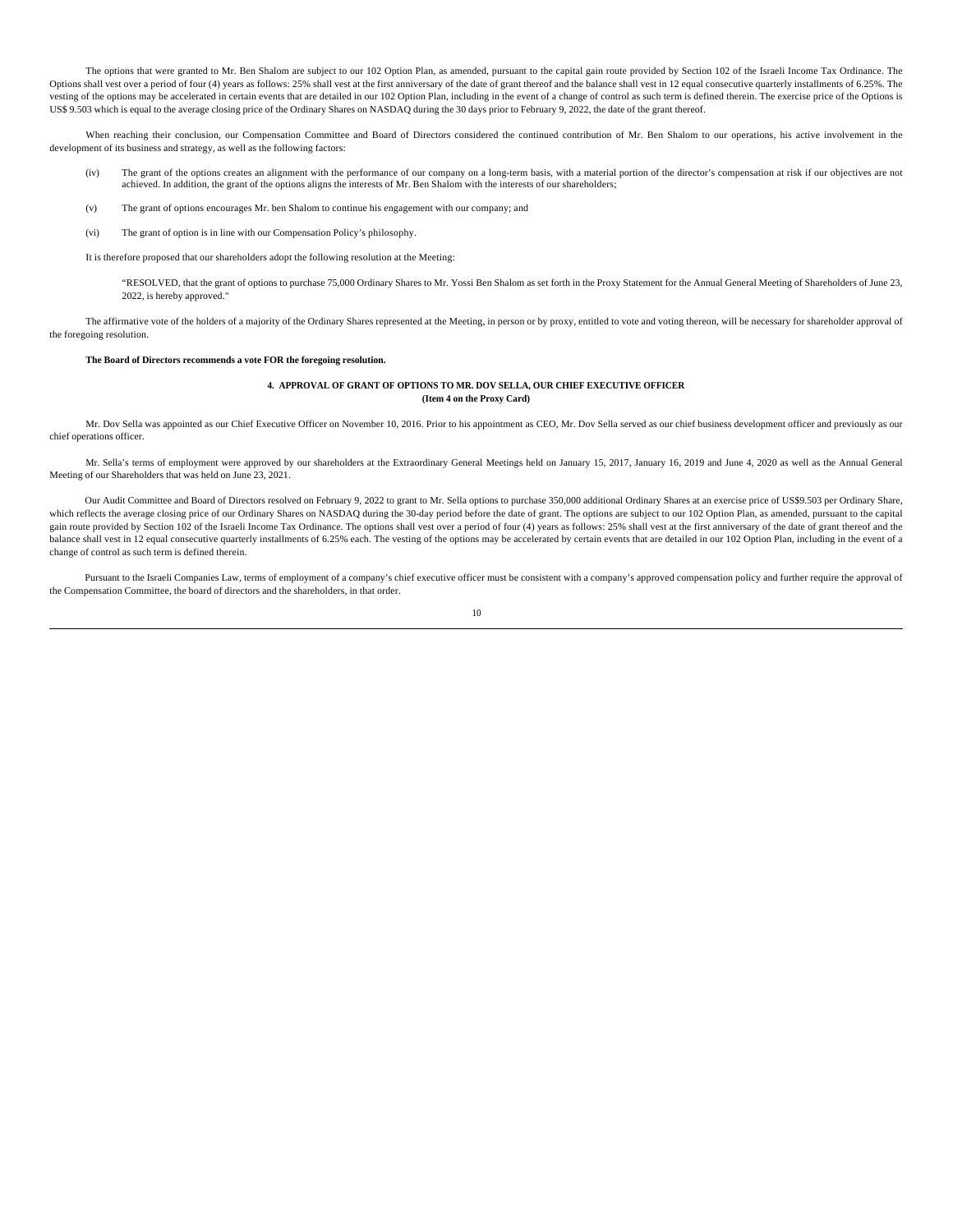The options that were granted to Mr. Ben Shalom are subject to our 102 Option Plan, as amended, pursuant to the capital gain route provided by Section 102 of the Israeli Income Tax Ordinance. The Options shall vest over a period of four (4) years as follows: 25% shall vest at the first anniversary of the date of grant thereof and the balance shall vest in 12 equal consecutive quarterly installments of 6.25%. The vesting of the options may be accelerated in certain events that are detailed in our 102 Option Plan, including in the event of a change of control as such term is defined therein. The exercise price of the Options is US\$ 9.503 which is equal to the average closing price of the Ordinary Shares on NASDAQ during the 30 days prior to February 9, 2022, the date of the grant thereof.

When reaching their conclusion, our Compensation Committee and Board of Directors considered the continued contribution of Mr. Ben Shalom to our operations, his active involvement in the development of its business and strategy, as well as the following factors:

- (iv) The grant of the options creates an alignment with the performance of our company on a long-term basis, with a material portion of the director's compensation at risk if our objectives are not achieved. In addition, the grant of the options aligns the interests of Mr. Ben Shalom with the interests of our shareholders;
- (v) The grant of options encourages Mr. ben Shalom to continue his engagement with our company; and
- (vi) The grant of option is in line with our Compensation Policy's philosophy.

It is therefore proposed that our shareholders adopt the following resolution at the Meeting:

"RESOLVED, that the grant of options to purchase 75,000 Ordinary Shares to Mr. Yossi Ben Shalom as set forth in the Proxy Statement for the Annual General Meeting of Shareholders of June 23, 2022, is hereby approved."

The affirmative vote of the holders of a majority of the Ordinary Shares represented at the Meeting, in person or by proxy, entitled to vote and voting thereon, will be necessary for shareholder approval of the foregoing resolution.

#### **The Board of Directors recommends a vote FOR the foregoing resolution.**

#### **4. APPROVAL OF GRANT OF OPTIONS TO MR. DOV SELLA, OUR CHIEF EXECUTIVE OFFICER (Item 4 on the Proxy Card)**

Mr. Dov Sella was appointed as our Chief Executive Officer on November 10, 2016. Prior to his appointment as CEO, Mr. Dov Sella served as our chief business development officer and previously as our chief operations officer.

Mr. Sella's terms of employment were approved by our shareholders at the Extraordinary General Meetings held on January 15, 2017, January 16, 2019 and June 4, 2020 as well as the Annual General Meeting of our Shareholders that was held on June 23, 2021.

Our Audit Committee and Board of Directors resolved on February 9, 2022 to grant to Mr. Sella options to purchase 350,000 additional Ordinary Shares at an exercise price of US\$9.503 per Ordinary Share, which reflects the average closing price of our Ordinary Shares on NASDAQ during the 30-day period before the date of grant. The options are subject to our 102 Option Plan, as amended, pursuant to the capital gain route provided by Section 102 of the Israeli Income Tax Ordinance. The options shall vest over a period of four (4) years as follows: 25% shall vest at the first anniversary of the date of grant thereof and the balance shall vest in 12 equal consecutive quarterly installments of 6.25% each. The vesting of the options may be accelerated by certain events that are detailed in our 102 Option Plan, including in the event of a change of control as such term is defined therein.

Pursuant to the Israeli Companies Law, terms of employment of a company's chief executive officer must be consistent with a company's approved compensation policy and further require the approval of the Compensation Committee, the board of directors and the shareholders, in that order.

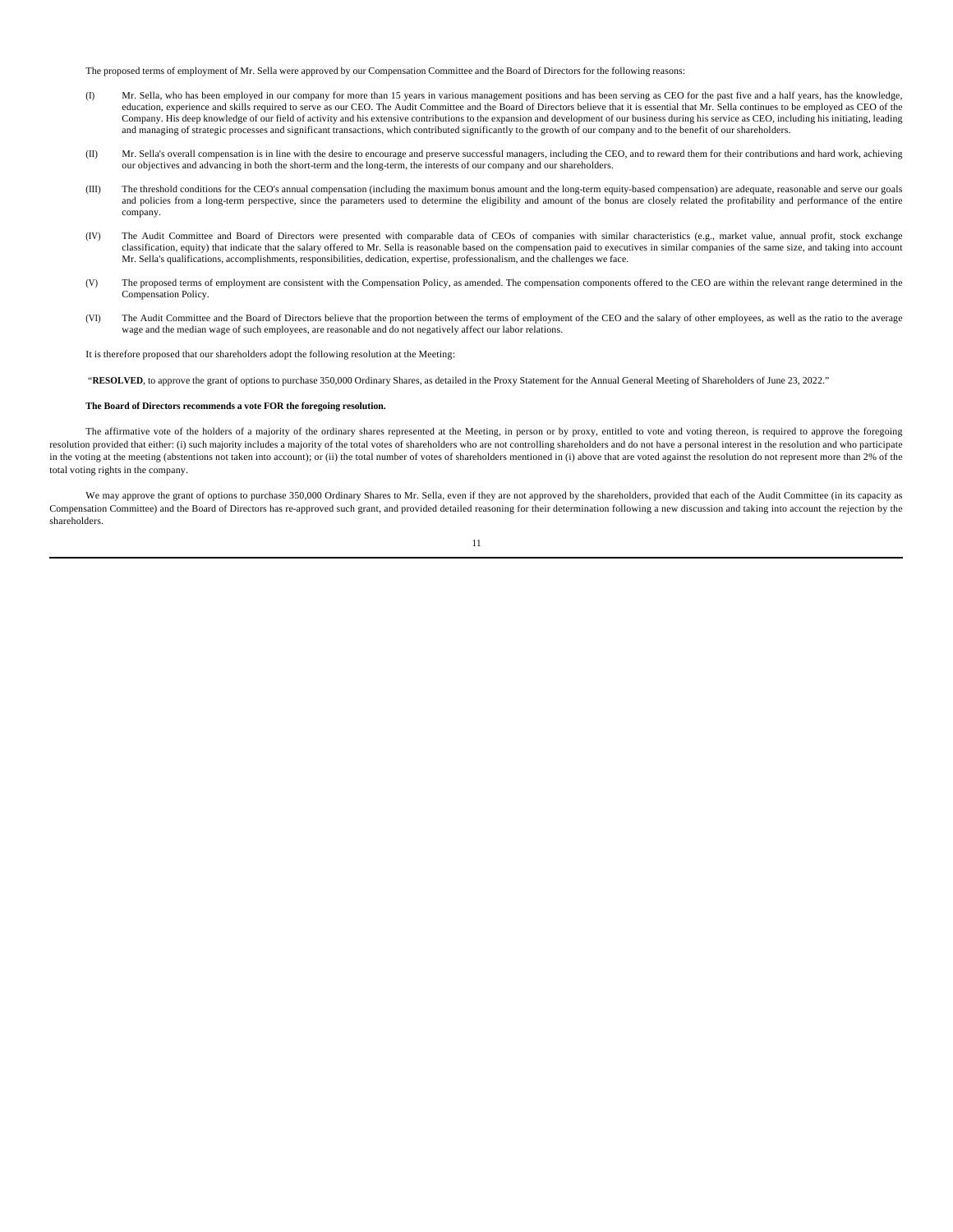The proposed terms of employment of Mr. Sella were approved by our Compensation Committee and the Board of Directors for the following reasons:

- (I) Mr. Sella, who has been employed in our company for more than 15 years in various management positions and has been serving as CEO for the past five and a half years, has the knowledge, education, experience and skills required to serve as our CEO. The Audit Committee and the Board of Directors believe that it is essential that Mr. Sella continues to be employed as CEO of the Company. His deep knowledge of our field of activity and his extensive contributions to the expansion and development of our business during his service as CEO, including his initiating, leading and managing of strategic processes and significant transactions, which contributed significantly to the growth of our company and to the benefit of our shareholders.
- (II) Mr. Sella's overall compensation is in line with the desire to encourage and preserve successful managers, including the CEO, and to reward them for their contributions and hard work, achieving our objectives and advancing in both the short-term and the long-term, the interests of our company and our shareholders.
- (III) The threshold conditions for the CEO's annual compensation (including the maximum bonus amount and the long-term equity-based compensation) are adequate, reasonable and serve our goals and policies from a long-term perspective, since the parameters used to determine the eligibility and amount of the bonus are closely related the profitability and performance of the entire company.
- (IV) The Audit Committee and Board of Directors were presented with comparable data of CEOs of companies with similar characteristics (e.g., market value, annual profit, stock exchange classification, equity) that indicate that the salary offered to Mr. Sella is reasonable based on the compensation paid to executives in similar companies of the same size, and taking into account Mr. Sella's qualifications, accomplishments, responsibilities, dedication, expertise, professionalism, and the challenges we face.
- (V) The proposed terms of employment are consistent with the Compensation Policy, as amended. The compensation components offered to the CEO are within the relevant range determined in the Compensation Policy.
- (VI) The Audit Committee and the Board of Directors believe that the proportion between the terms of employment of the CEO and the salary of other employees, as well as the ratio to the average wage and the median wage of such employees, are reasonable and do not negatively affect our labor relations.

It is therefore proposed that our shareholders adopt the following resolution at the Meeting:

"RESOLVED, to approve the grant of options to purchase 350,000 Ordinary Shares, as detailed in the Proxy Statement for the Annual General Meeting of Shareholders of June 23, 2022."

#### **The Board of Directors recommends a vote FOR the foregoing resolution.**

The affirmative vote of the holders of a majority of the ordinary shares represented at the Meeting, in person or by proxy, entitled to vote and voting thereon, is required to approve the foregoing resolution provided that either: (i) such majority includes a majority of the total votes of shareholders who are not controlling shareholders and do not have a personal interest in the resolution and who participate in the voting at the meeting (abstentions not taken into account); or (ii) the total number of votes of shareholders mentioned in (i) above that are voted against the resolution do not represent more than 2% of the total voting rights in the company.

We may approve the grant of options to purchase 350,000 Ordinary Shares to Mr. Sella, even if they are not approved by the shareholders, provided that each of the Audit Committee (in its capacity as Compensation Committee) and the Board of Directors has re-approved such grant, and provided detailed reasoning for their determination following a new discussion and taking into account the rejection by the shareholders.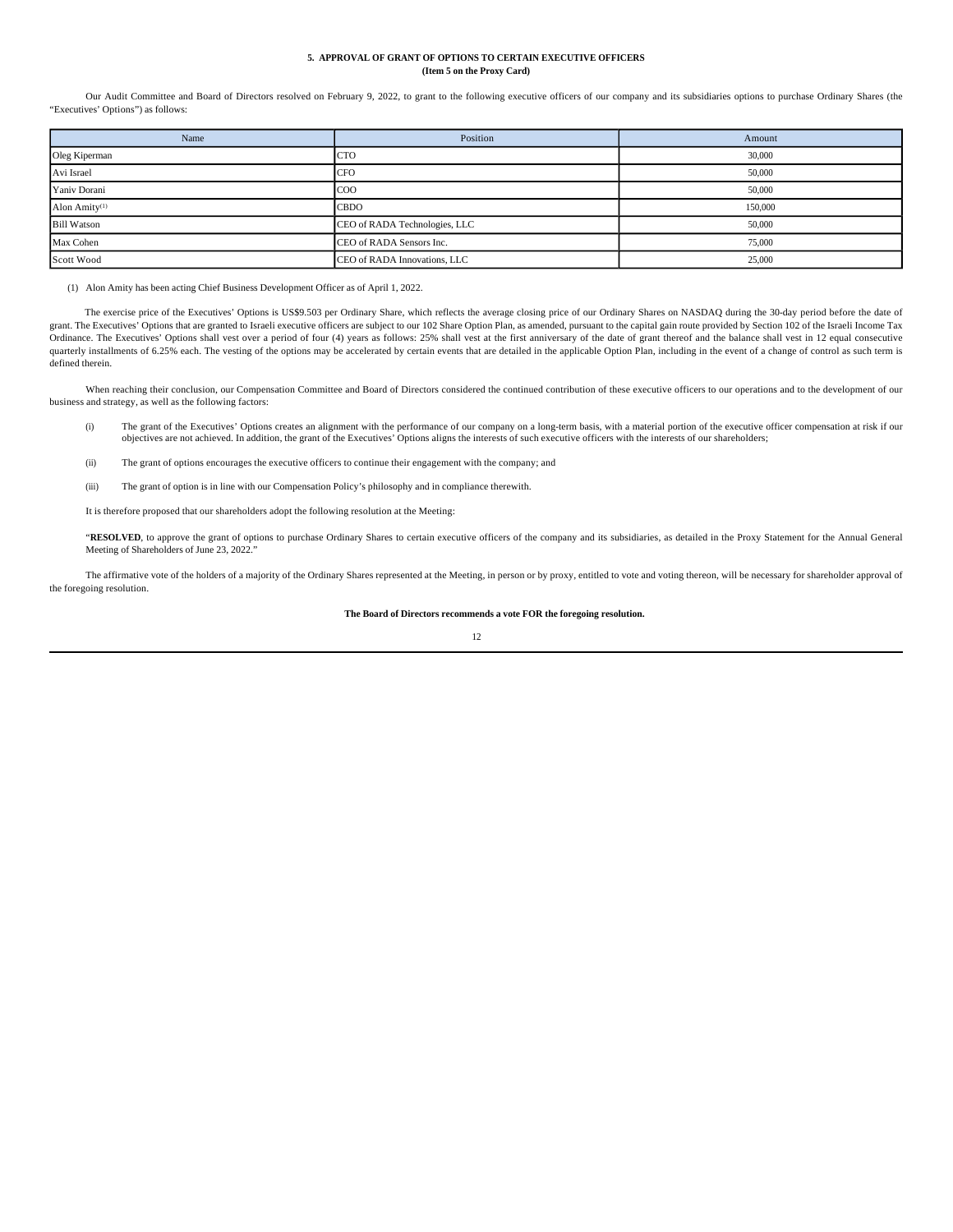## **5. APPROVAL OF GRANT OF OPTIONS TO CERTAIN EXECUTIVE OFFICERS (Item 5 on the Proxy Card)**

Our Audit Committee and Board of Directors resolved on February 9, 2022, to grant to the following executive officers of our company and its subsidiaries options to purchase Ordinary Shares (the "Executives' Options") as follows:

| Name                      | Position                      | Amount  |
|---------------------------|-------------------------------|---------|
| Oleg Kiperman             | <b>CTO</b>                    | 30,000  |
| Avi Israel                | <b>CFO</b>                    | 50,000  |
| Yaniv Dorani              | <b>COO</b>                    | 50,000  |
| Alon Amity <sup>(1)</sup> | <b>CBDO</b>                   | 150,000 |
| <b>Bill Watson</b>        | CEO of RADA Technologies, LLC | 50,000  |
| Max Cohen                 | CEO of RADA Sensors Inc.      | 75,000  |
| Scott Wood                | CEO of RADA Innovations, LLC  | 25,000  |

(1) Alon Amity has been acting Chief Business Development Officer as of April 1, 2022.

The exercise price of the Executives' Options is US\$9.503 per Ordinary Share, which reflects the average closing price of our Ordinary Shares on NASDAQ during the 30-day period before the date of grant. The Executives' Options that are granted to Israeli executive officers are subject to our 102 Share Option Plan, as amended, pursuant to the capital gain route provided by Section 102 of the Israeli Income Tax Ordinance. The Executives' Options shall vest over a period of four (4) years as follows: 25% shall vest at the first anniversary of the date of grant thereof and the balance shall vest in 12 equal consecutive quarterly installments of 6.25% each. The vesting of the options may be accelerated by certain events that are detailed in the applicable Option Plan, including in the event of a change of control as such term is defined therein.

When reaching their conclusion, our Compensation Committee and Board of Directors considered the contrinued contribution of these executive officers to our operations and to the development of our business and strategy, as well as the following factors:

- (i) The grant of the Executives' Options creates an alignment with the performance of our company on a long-term basis, with a material portion of the executive officer compensation at risk if our objectives are not achieved. In addition, the grant of the Executives' Options aligns the interests of such executive officers with the interests of our shareholders;
- (ii) The grant of options encourages the executive officers to continue their engagement with the company; and
- (iii) The grant of option is in line with our Compensation Policy's philosophy and in compliance therewith.

It is therefore proposed that our shareholders adopt the following resolution at the Meeting:

"RESOLVED, to approve the grant of options to purchase Ordinary Shares to certain executive officers of the company and its subsidiaries, as detailed in the Proxy Statement for the Annual General Meeting of Shareholders of June 23, 2022."

The affirmative vote of the holders of a majority of the Ordinary Shares represented at the Meeting, in person or by proxy, entitled to vote and voting thereon, will be necessary for shareholder approval of the foregoing resolution.

## **The Board of Directors recommends a vote FOR the foregoing resolution.**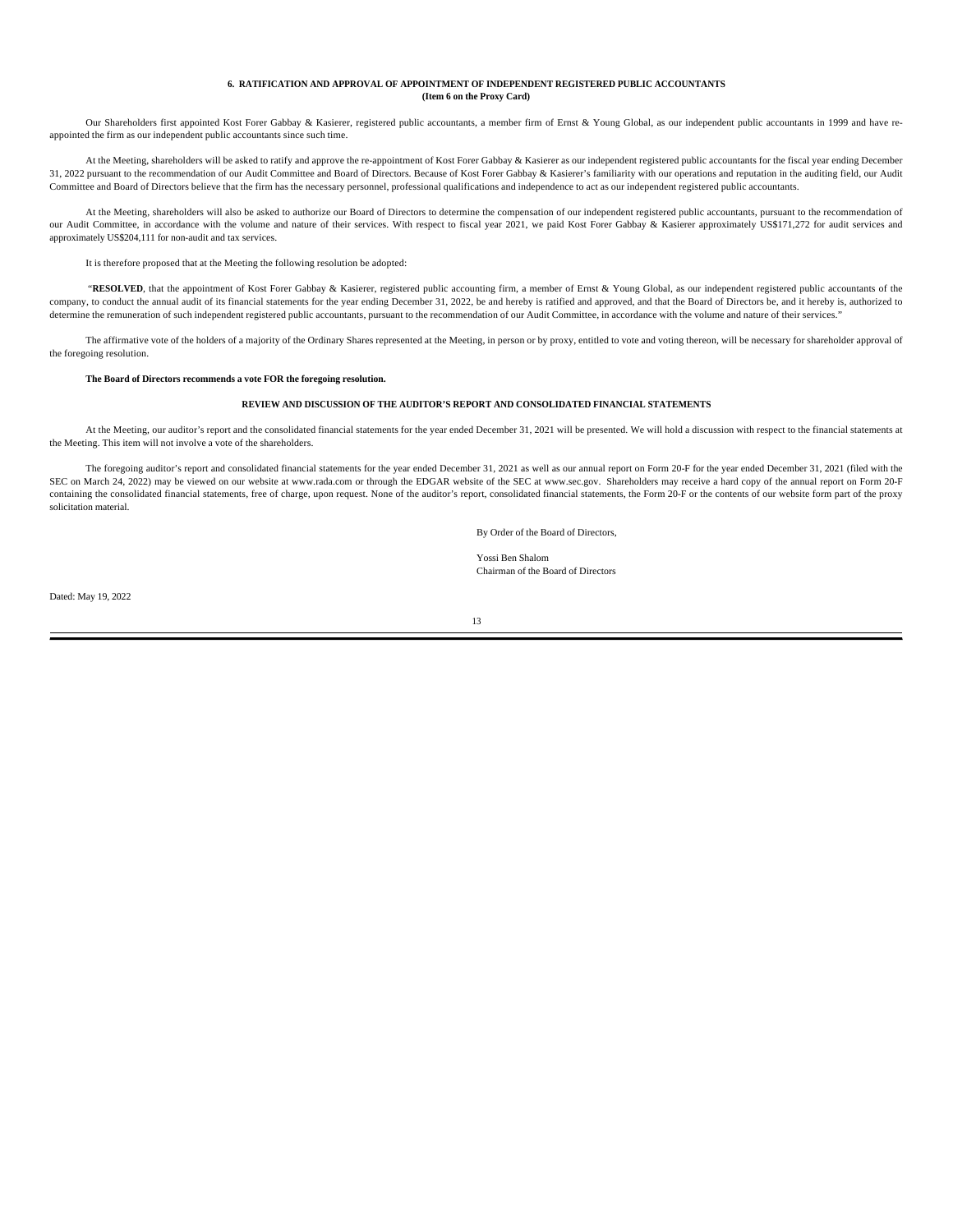#### **6. RATIFICATION AND APPROVAL OF APPOINTMENT OF INDEPENDENT REGISTERED PUBLIC ACCOUNTANTS (Item 6 on the Proxy Card)**

Our Shareholders first appointed Kost Forer Gabbay & Kasierer, registered public accountants, a member firm of Ernst & Young Global, as our independent public accountants in 1999 and have reappointed the firm as our independent public accountants since such time.

At the Meeting, shareholders will be asked to ratify and approve the re-appointment of Kost Forer Gabbay & Kasierer as our independent registered public accountants for the fiscal year ending December 31, 2022 pursuant to the recommendation of our Audit Committee and Board of Directors. Because of Kost Forer Gabbay & Kasierer's familiarity with our operations and reputation in the auditing field, our Audit Committee and Board of Directors believe that the firm has the necessary personnel, professional qualifications and independence to act as our independent registered public accountants.

At the Meeting, shareholders will also be asked to authorize our Board of Directors to determine the compensation of our independent registered public accountants, pursuant to the recommendation of our Audit Committee, in accordance with the volume and nature of their services. With respect to fiscal year 2021, we paid Kost Forer Gabbay & Kasierer approximately US\$171,272 for audit services and approximately US\$204,111 for non-audit and tax services.

It is therefore proposed that at the Meeting the following resolution be adopted:

"**RESOLVED**, that the appointment of Kost Forer Gabbay & Kasierer, registered public accounting firm, a member of Ernst & Young Global, as our independent registered public accountants of the company, to conduct the annual audit of its financial statements for the year ending December 31, 2022, be and hereby is ratified and approved, and that the Board of Directors be, and it hereby is, authorized to determine the remuneration of such independent registered public accountants, pursuant to the recommendation of our Audit Committee, in accordance with the volume and nature of their services."

The affirmative vote of the holders of a majority of the Ordinary Shares represented at the Meeting, in person or by proxy, entitled to vote and voting thereon, will be necessary for shareholder approval of the foregoing resolution.

#### **The Board of Directors recommends a vote FOR the foregoing resolution.**

### **REVIEW AND DISCUSSION OF THE AUDITOR'S REPORT AND CONSOLIDATED FINANCIAL STATEMENTS**

At the Meeting, our auditor's report and the consolidated financial statements for the year ended December 31, 2021 will be presented. We will hold a discussion with respect to the financial statements at the Meeting. This item will not involve a vote of the shareholders.

The foregoing auditor's report and consolidated financial statements for the year ended December 31, 2021 as well as our annual report on Form 20-F for the year ended December 31, 2021 (filed with the SEC on March 24, 2022) may be viewed on our website at www.rada.com or through the EDGAR website of the SEC at www.sec.gov. Shareholders may receive a hard copy of the annual report on Form 20-F containing the consolidated financial statements, free of charge, upon request. None of the auditor's report, consolidated financial statements, the Form 20-F or the contents of our website form part of the proxy solicitation material.

By Order of the Board of Directors,

Yossi Ben Shalom Chairman of the Board of Directors

Dated: May 19, 2022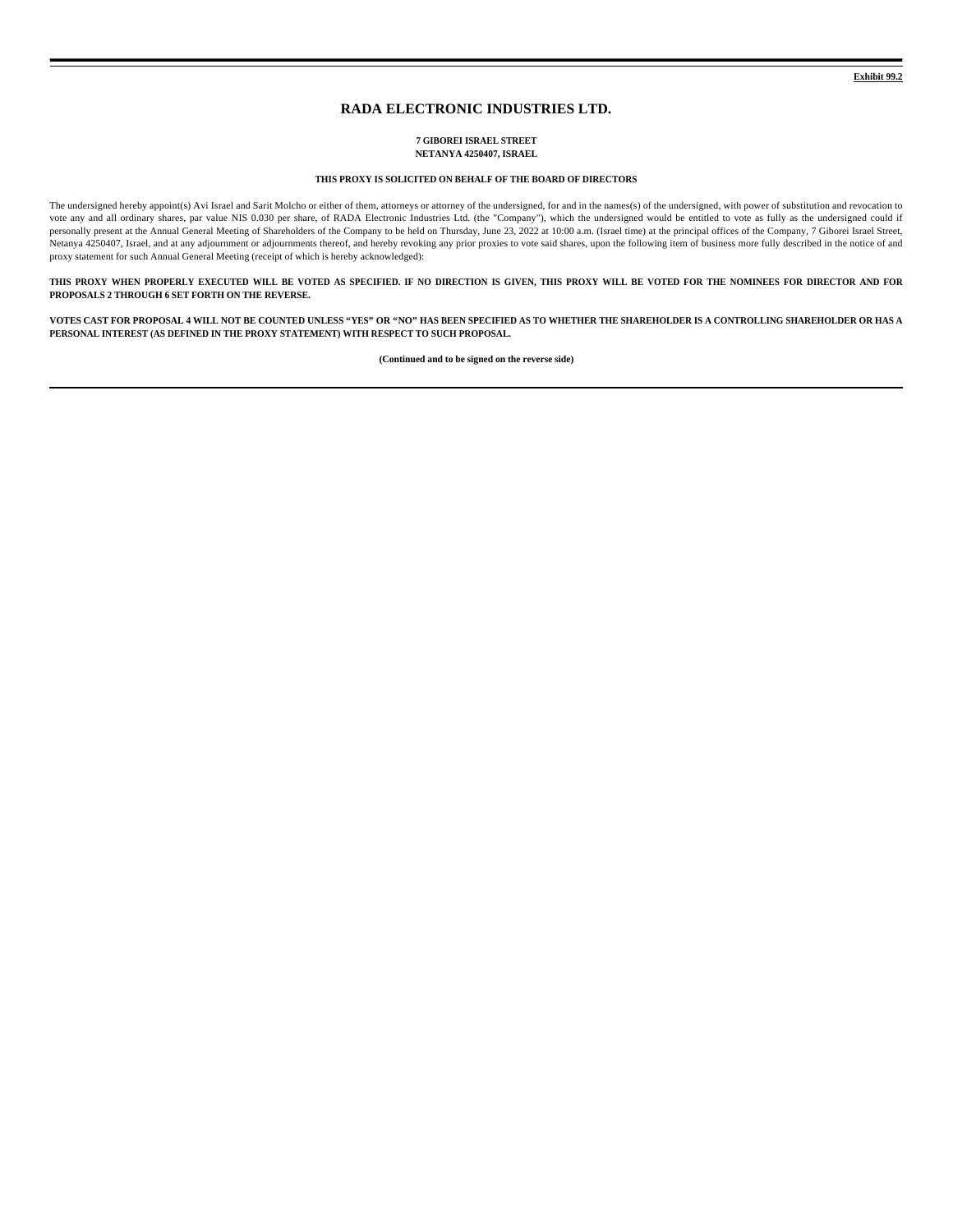# **RADA ELECTRONIC INDUSTRIES LTD.**

#### **7 GIBOREI ISRAEL STREET NETANYA 4250407, ISRAEL**

### **THIS PROXY IS SOLICITED ON BEHALF OF THE BOARD OF DIRECTORS**

The undersigned hereby appoint(s) Avi Israel and Sarit Molcho or either of them, attorneys or attorney of the undersigned, for and in the names(s) of the undersigned, with power of substitution and revocation to vote any and all ordinary shares, par value NIS 0.030 per share, of RADA Electronic Industries Ltd. (the "Company"), which the undersigned would be entitled to vote as fully as the undersigned could if personally present at the Annual General Meeting of Shareholders of the Company to be held on Thursday, June 23, 2022 at 10:00 a.m. (Israel time) at the principal offices of the Company, 7 Giborei Israel Street, Netanya 4250407, Israel, and at any adjournment or adjournments thereof, and hereby revoking any prior proxies to vote said shares, upon the following item of business more fully described in the notice of and proxy statement for such Annual General Meeting (receipt of which is hereby acknowledged):

**THIS PROXY WHEN PROPERLY EXECUTED WILL BE VOTED AS SPECIFIED. IF NO DIRECTION IS GIVEN, THIS PROXY WILL BE VOTED FOR THE NOMINEES FOR DIRECTOR AND FOR PROPOSALS 2 THROUGH 6 SET FORTH ON THE REVERSE.**

**VOTES CAST FOR PROPOSAL 4 WILL NOT BE COUNTED UNLESS "YES" OR "NO" HAS BEEN SPECIFIED AS TO WHETHER THE SHAREHOLDER IS A CONTROLLING SHAREHOLDER OR HAS A PERSONAL INTEREST (AS DEFINED IN THE PROXY STATEMENT) WITH RESPECT TO SUCH PROPOSAL.**

**(Continued and to be signed on the reverse side)**